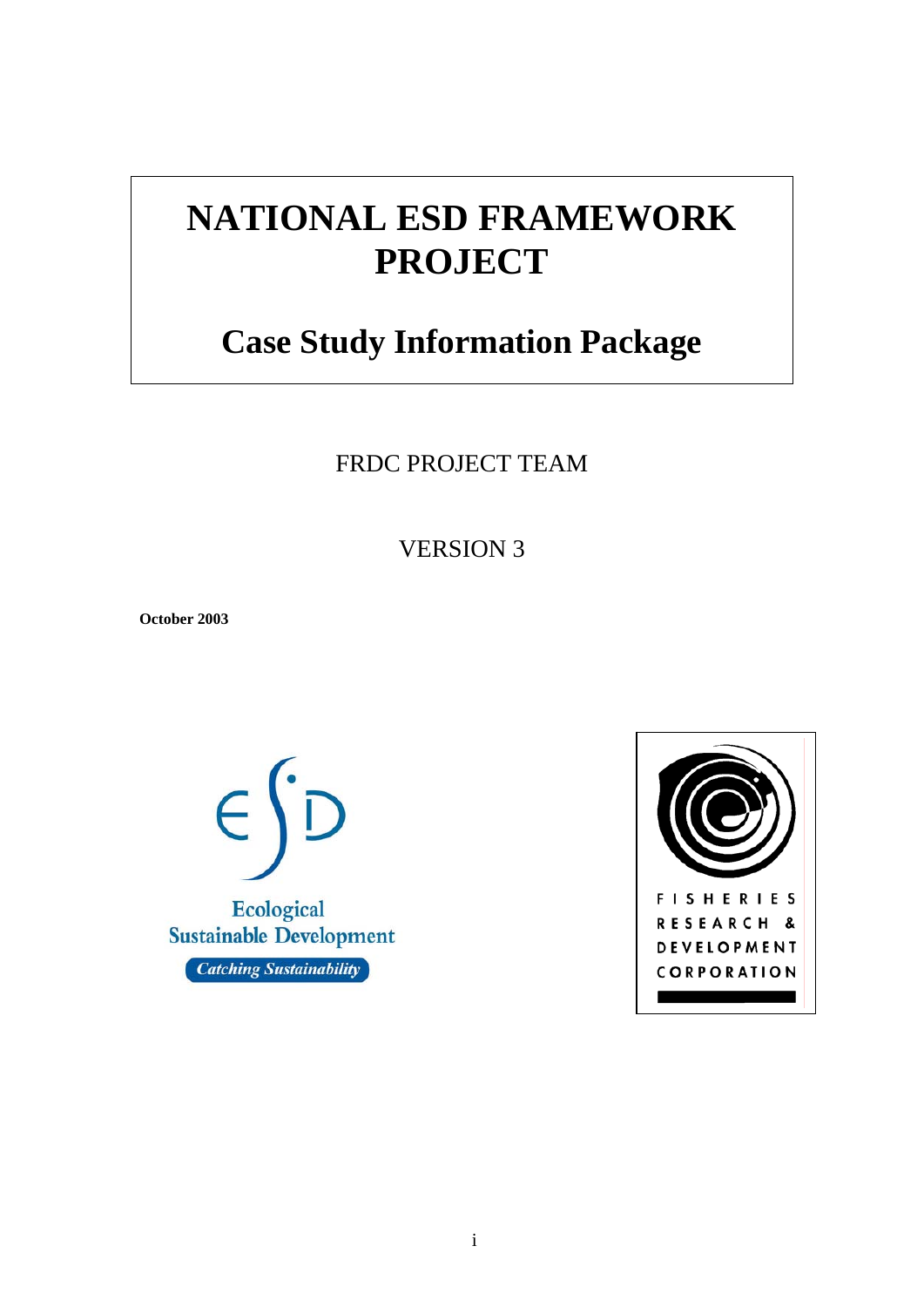# **NATIONAL ESD FRAMEWORK PROJECT**

# **Case Study Information Package**

FRDC PROJECT TEAM

VERSION 3

**October 2003** 



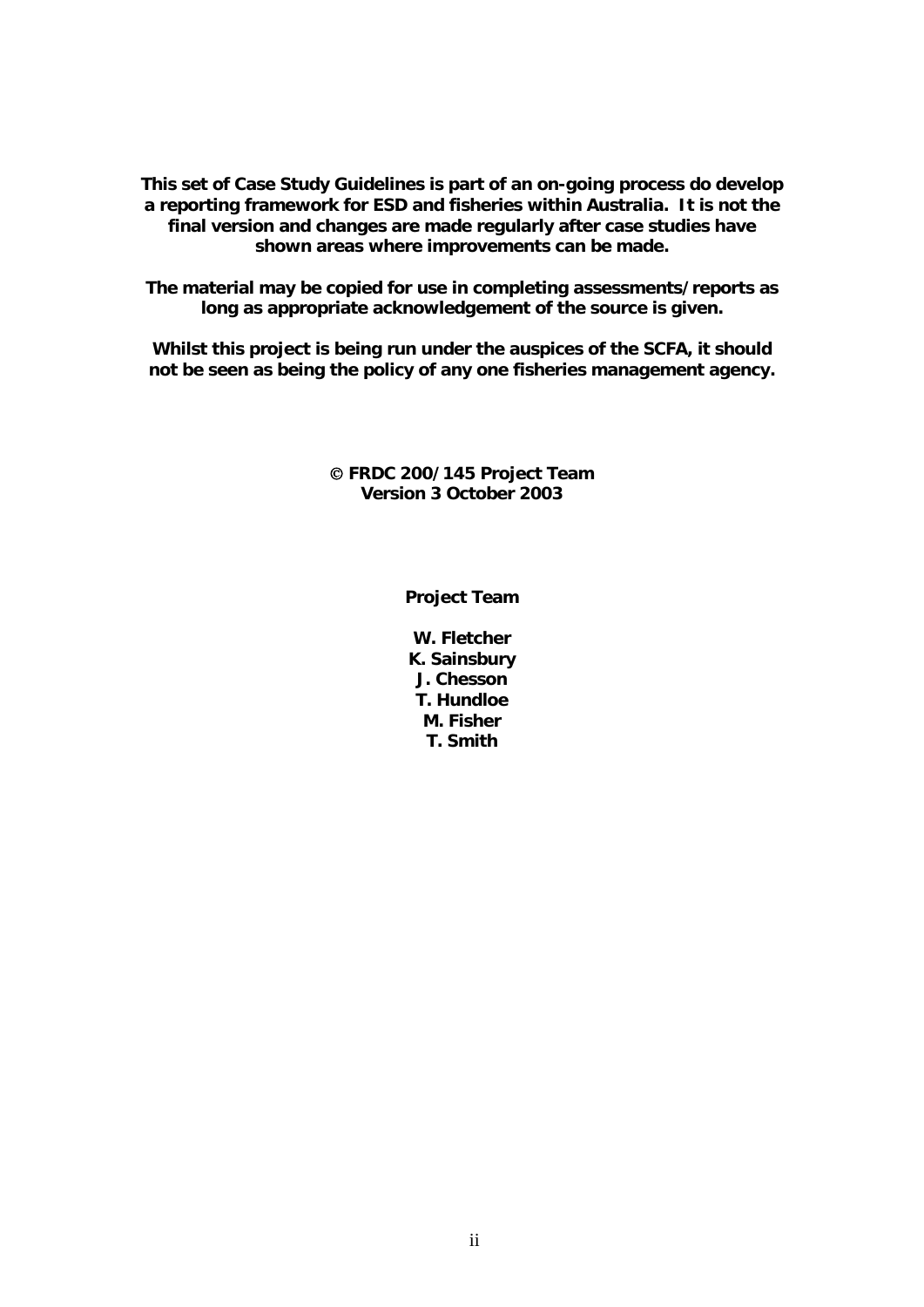**This set of Case Study Guidelines is part of an on-going process do develop a reporting framework for ESD and fisheries within Australia. It is not the final version and changes are made regularly after case studies have shown areas where improvements can be made.** 

**The material may be copied for use in completing assessments/reports as long as appropriate acknowledgement of the source is given.** 

**Whilst this project is being run under the auspices of the SCFA, it should not be seen as being the policy of any one fisheries management agency.** 

#### © **FRDC 200/145 Project Team Version 3 October 2003**

**Project Team** 

**W. Fletcher K. Sainsbury J. Chesson T. Hundloe M. Fisher T. Smith**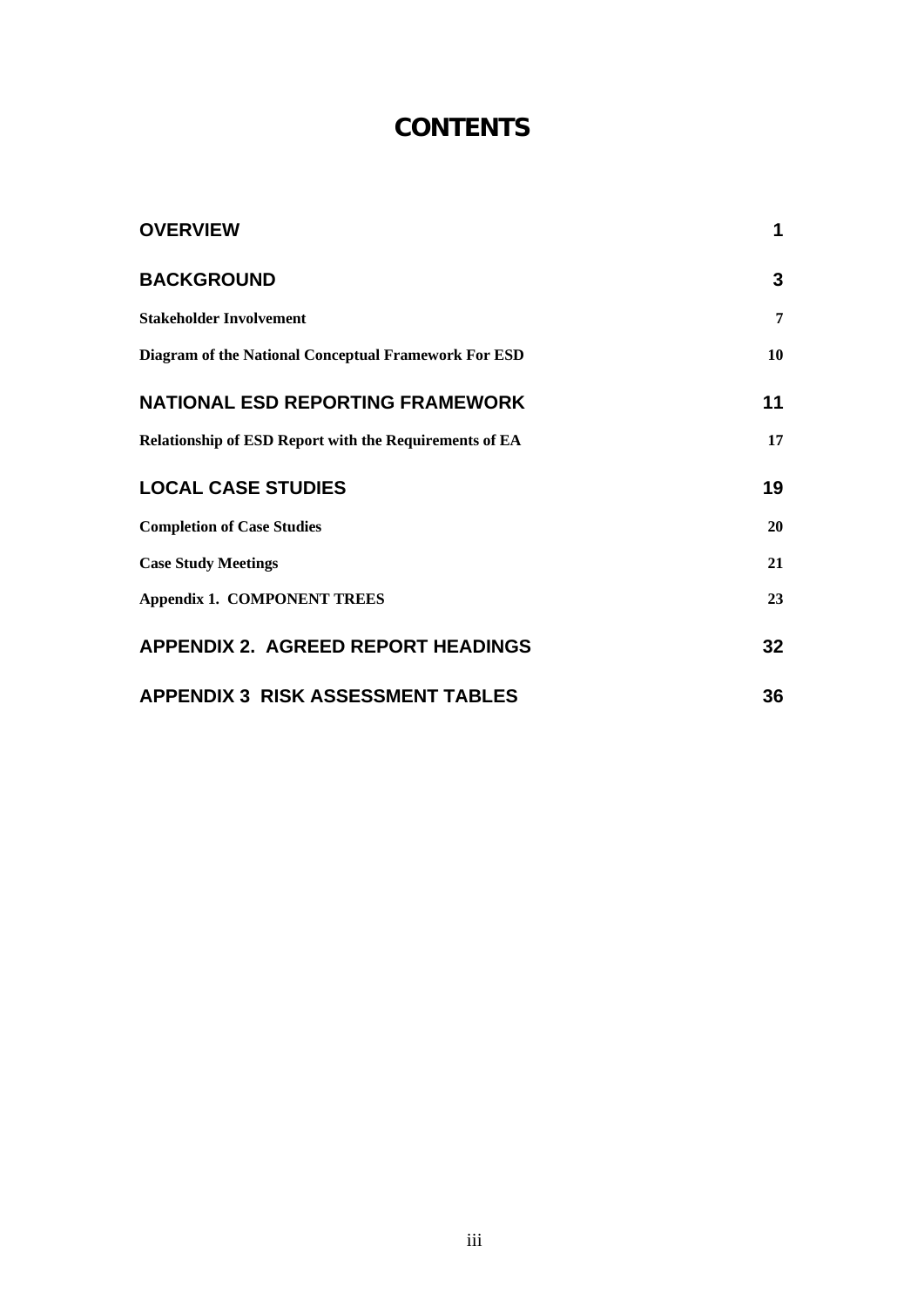# **CONTENTS**

| <b>OVERVIEW</b>                                               | $\mathbf 1$    |
|---------------------------------------------------------------|----------------|
| <b>BACKGROUND</b>                                             | 3              |
| <b>Stakeholder Involvement</b>                                | $\overline{7}$ |
| Diagram of the National Conceptual Framework For ESD          | 10             |
| <b>NATIONAL ESD REPORTING FRAMEWORK</b>                       | 11             |
| <b>Relationship of ESD Report with the Requirements of EA</b> | 17             |
| <b>LOCAL CASE STUDIES</b>                                     | 19             |
| <b>Completion of Case Studies</b>                             | 20             |
| <b>Case Study Meetings</b>                                    | 21             |
| <b>Appendix 1. COMPONENT TREES</b>                            | 23             |
| <b>APPENDIX 2. AGREED REPORT HEADINGS</b>                     | 32             |
| <b>APPENDIX 3 RISK ASSESSMENT TABLES</b>                      | 36             |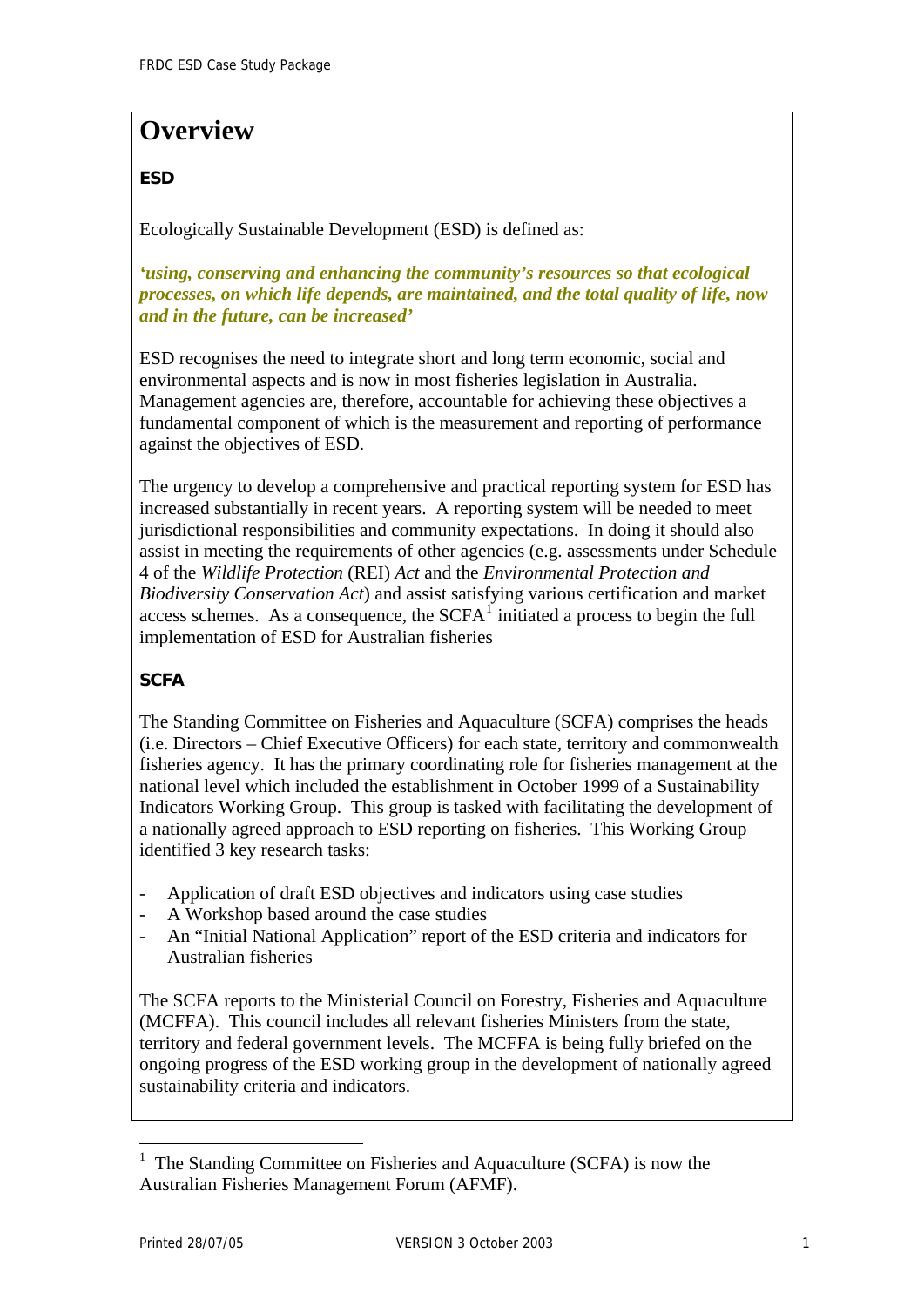# <span id="page-3-0"></span>**Overview**

### **ESD**

Ecologically Sustainable Development (ESD) is defined as:

*'using, conserving and enhancing the community's resources so that ecological processes, on which life depends, are maintained, and the total quality of life, now and in the future, can be increased'*

ESD recognises the need to integrate short and long term economic, social and environmental aspects and is now in most fisheries legislation in Australia. Management agencies are, therefore, accountable for achieving these objectives a fundamental component of which is the measurement and reporting of performance against the objectives of ESD.

The urgency to develop a comprehensive and practical reporting system for ESD has increased substantially in recent years. A reporting system will be needed to meet jurisdictional responsibilities and community expectations. In doing it should also assist in meeting the requirements of other agencies (e.g. assessments under Schedule 4 of the *Wildlife Protection* (REI) *Act* and the *Environmental Protection and Biodiversity Conservation Act*) and assist satisfying various certification and market access schemes. As a consequence, the  $SCFA<sup>T</sup>$  initiated a process to begin the full implementation of ESD for Australian fisheries

## **SCFA**

The Standing Committee on Fisheries and Aquaculture (SCFA) comprises the heads (i.e. Directors – Chief Executive Officers) for each state, territory and commonwealth fisheries agency. It has the primary coordinating role for fisheries management at the national level which included the establishment in October 1999 of a Sustainability Indicators Working Group. This group is tasked with facilitating the development of a nationally agreed approach to ESD reporting on fisheries. This Working Group identified 3 key research tasks:

- Application of draft ESD objectives and indicators using case studies
- A Workshop based around the case studies
- An "Initial National Application" report of the ESD criteria and indicators for Australian fisheries

The SCFA reports to the Ministerial Council on Forestry, Fisheries and Aquaculture (MCFFA). This council includes all relevant fisheries Ministers from the state, territory and federal government levels. The MCFFA is being fully briefed on the ongoing progress of the ESD working group in the development of nationally agreed sustainability criteria and indicators.

 $\overline{a}$ 

<span id="page-3-1"></span><sup>1</sup> The Standing Committee on Fisheries and Aquaculture (SCFA) is now the Australian Fisheries Management Forum (AFMF).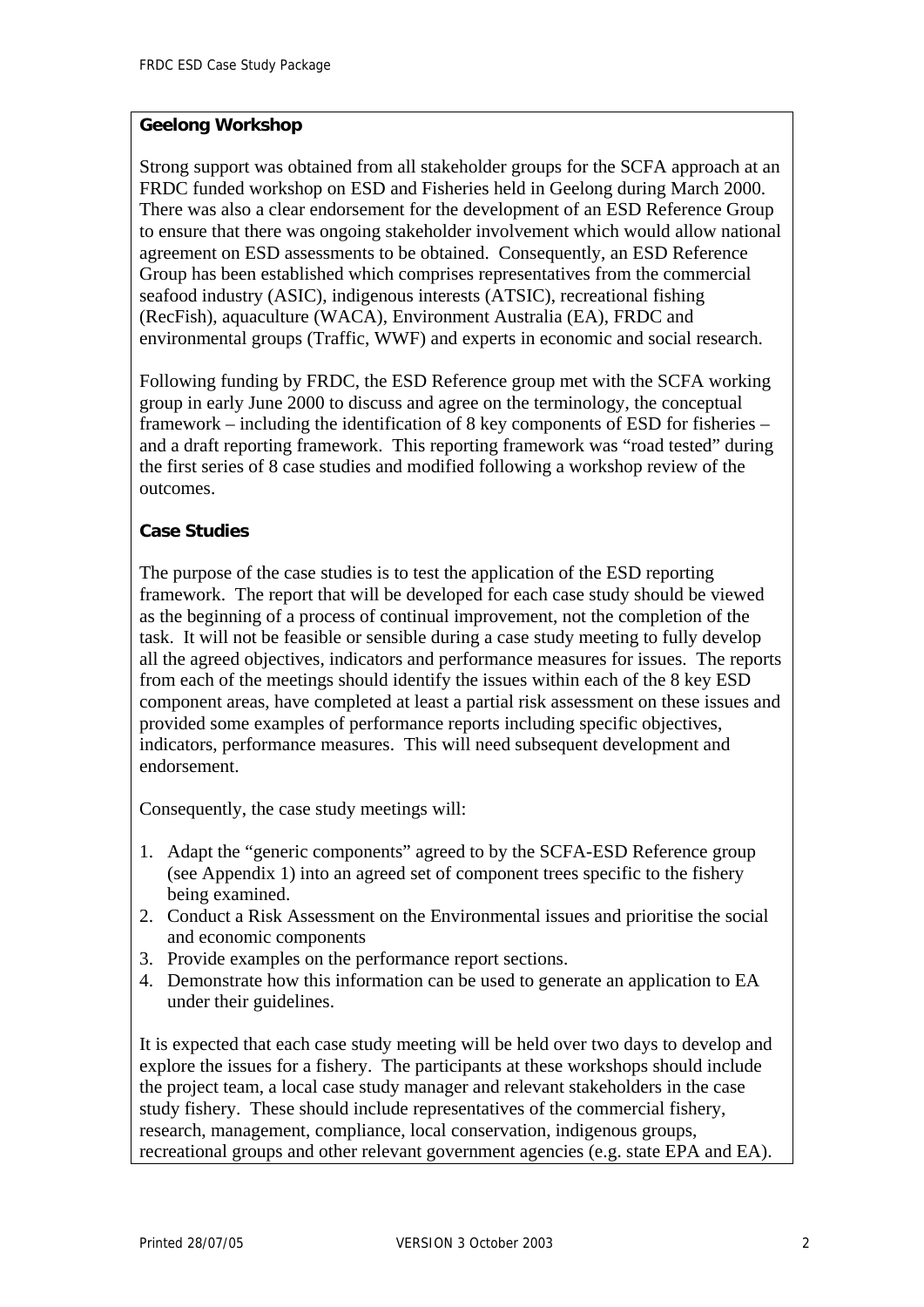#### **Geelong Workshop**

Strong support was obtained from all stakeholder groups for the SCFA approach at an FRDC funded workshop on ESD and Fisheries held in Geelong during March 2000. There was also a clear endorsement for the development of an ESD Reference Group to ensure that there was ongoing stakeholder involvement which would allow national agreement on ESD assessments to be obtained. Consequently, an ESD Reference Group has been established which comprises representatives from the commercial seafood industry (ASIC), indigenous interests (ATSIC), recreational fishing (RecFish), aquaculture (WACA), Environment Australia (EA), FRDC and environmental groups (Traffic, WWF) and experts in economic and social research.

Following funding by FRDC, the ESD Reference group met with the SCFA working group in early June 2000 to discuss and agree on the terminology, the conceptual framework – including the identification of 8 key components of ESD for fisheries – and a draft reporting framework. This reporting framework was "road tested" during the first series of 8 case studies and modified following a workshop review of the outcomes.

### **Case Studies**

The purpose of the case studies is to test the application of the ESD reporting framework. The report that will be developed for each case study should be viewed as the beginning of a process of continual improvement, not the completion of the task. It will not be feasible or sensible during a case study meeting to fully develop all the agreed objectives, indicators and performance measures for issues. The reports from each of the meetings should identify the issues within each of the 8 key ESD component areas, have completed at least a partial risk assessment on these issues and provided some examples of performance reports including specific objectives, indicators, performance measures. This will need subsequent development and endorsement.

Consequently, the case study meetings will:

- 1. Adapt the "generic components" agreed to by the SCFA-ESD Reference group (see Appendix 1) into an agreed set of component trees specific to the fishery being examined.
- 2. Conduct a Risk Assessment on the Environmental issues and prioritise the social and economic components
- 3. Provide examples on the performance report sections.
- 4. Demonstrate how this information can be used to generate an application to EA under their guidelines.

It is expected that each case study meeting will be held over two days to develop and explore the issues for a fishery. The participants at these workshops should include the project team, a local case study manager and relevant stakeholders in the case study fishery. These should include representatives of the commercial fishery, research, management, compliance, local conservation, indigenous groups, recreational groups and other relevant government agencies (e.g. state EPA and EA).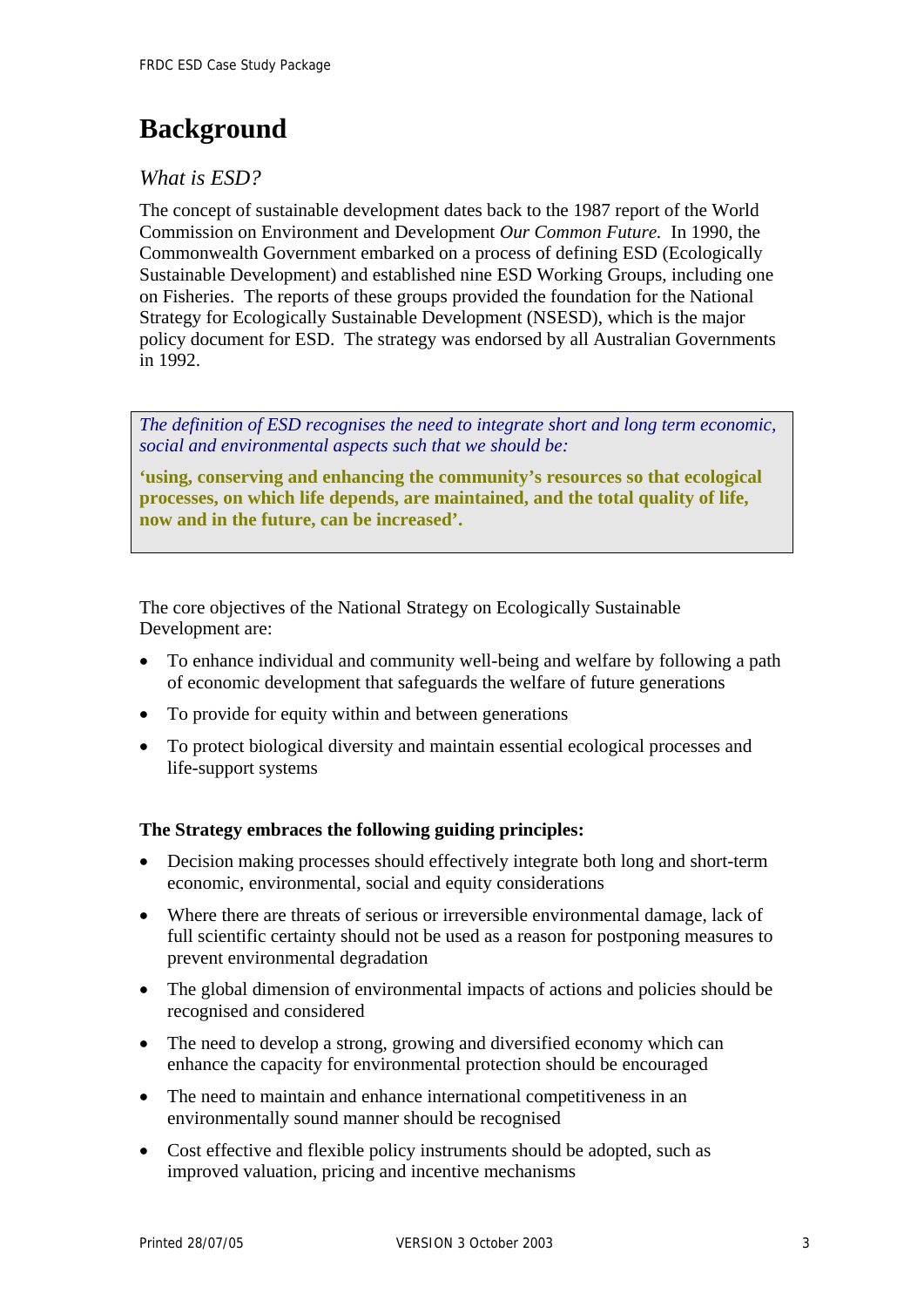# <span id="page-5-0"></span>**Background**

# *What is ESD?*

The concept of sustainable development dates back to the 1987 report of the World Commission on Environment and Development *Our Common Future.* In 1990, the Commonwealth Government embarked on a process of defining ESD (Ecologically Sustainable Development) and established nine ESD Working Groups, including one on Fisheries. The reports of these groups provided the foundation for the National Strategy for Ecologically Sustainable Development (NSESD), which is the major policy document for ESD. The strategy was endorsed by all Australian Governments in 1992.

*The definition of ESD recognises the need to integrate short and long term economic, social and environmental aspects such that we should be:*

**'using, conserving and enhancing the community's resources so that ecological processes, on which life depends, are maintained, and the total quality of life, now and in the future, can be increased'.** 

The core objectives of the National Strategy on Ecologically Sustainable Development are:

- To enhance individual and community well-being and welfare by following a path of economic development that safeguards the welfare of future generations
- To provide for equity within and between generations
- To protect biological diversity and maintain essential ecological processes and life-support systems

### **The Strategy embraces the following guiding principles:**

- Decision making processes should effectively integrate both long and short-term economic, environmental, social and equity considerations
- Where there are threats of serious or irreversible environmental damage, lack of full scientific certainty should not be used as a reason for postponing measures to prevent environmental degradation
- The global dimension of environmental impacts of actions and policies should be recognised and considered
- The need to develop a strong, growing and diversified economy which can enhance the capacity for environmental protection should be encouraged
- The need to maintain and enhance international competitiveness in an environmentally sound manner should be recognised
- Cost effective and flexible policy instruments should be adopted, such as improved valuation, pricing and incentive mechanisms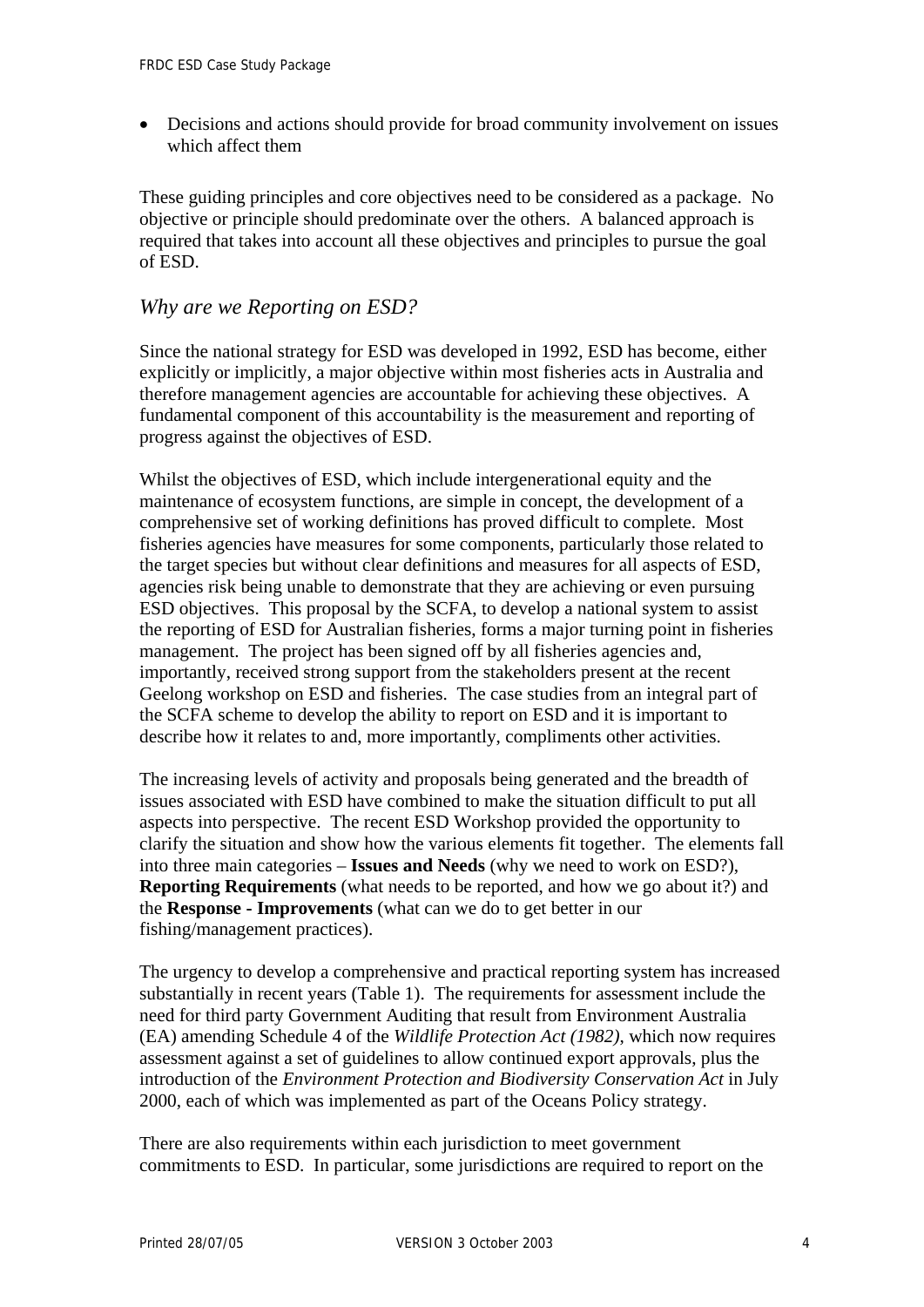• Decisions and actions should provide for broad community involvement on issues which affect them

These guiding principles and core objectives need to be considered as a package. No objective or principle should predominate over the others. A balanced approach is required that takes into account all these objectives and principles to pursue the goal of ESD.

### *Why are we Reporting on ESD?*

Since the national strategy for ESD was developed in 1992, ESD has become, either explicitly or implicitly, a major objective within most fisheries acts in Australia and therefore management agencies are accountable for achieving these objectives. A fundamental component of this accountability is the measurement and reporting of progress against the objectives of ESD.

Whilst the objectives of ESD, which include intergenerational equity and the maintenance of ecosystem functions, are simple in concept, the development of a comprehensive set of working definitions has proved difficult to complete. Most fisheries agencies have measures for some components, particularly those related to the target species but without clear definitions and measures for all aspects of ESD, agencies risk being unable to demonstrate that they are achieving or even pursuing ESD objectives. This proposal by the SCFA, to develop a national system to assist the reporting of ESD for Australian fisheries, forms a major turning point in fisheries management. The project has been signed off by all fisheries agencies and, importantly, received strong support from the stakeholders present at the recent Geelong workshop on ESD and fisheries. The case studies from an integral part of the SCFA scheme to develop the ability to report on ESD and it is important to describe how it relates to and, more importantly, compliments other activities.

The increasing levels of activity and proposals being generated and the breadth of issues associated with ESD have combined to make the situation difficult to put all aspects into perspective. The recent ESD Workshop provided the opportunity to clarify the situation and show how the various elements fit together. The elements fall into three main categories – **Issues and Needs** (why we need to work on ESD?), **Reporting Requirements** (what needs to be reported, and how we go about it?) and the **Response - Improvements** (what can we do to get better in our fishing/management practices).

The urgency to develop a comprehensive and practical reporting system has increased substantially in recent years (Table 1). The requirements for assessment include the need for third party Government Auditing that result from Environment Australia (EA) amending Schedule 4 of the *Wildlife Protection Act (1982)*, which now requires assessment against a set of guidelines to allow continued export approvals, plus the introduction of the *Environment Protection and Biodiversity Conservation Act* in July 2000, each of which was implemented as part of the Oceans Policy strategy.

There are also requirements within each jurisdiction to meet government commitments to ESD. In particular, some jurisdictions are required to report on the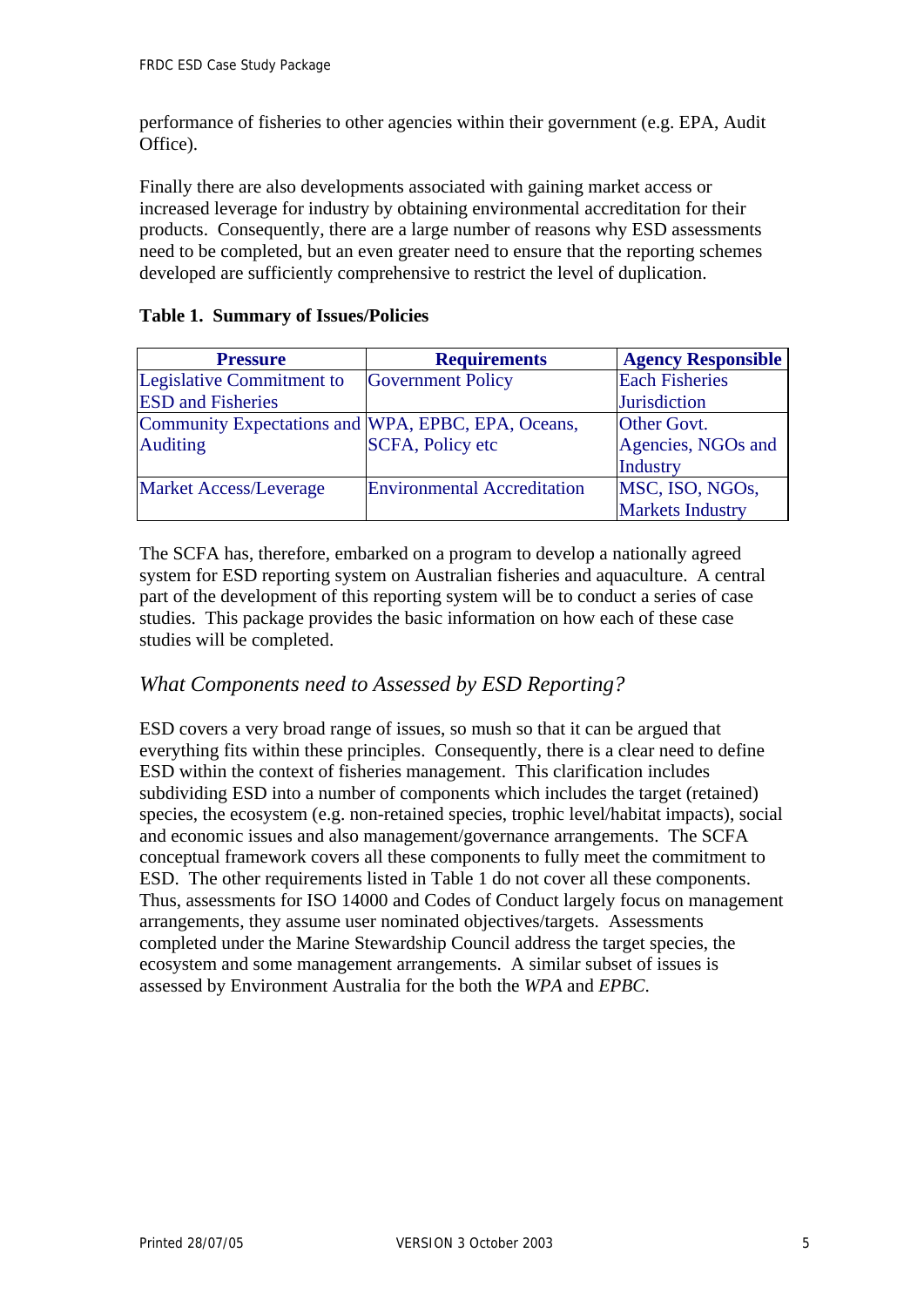performance of fisheries to other agencies within their government (e.g. EPA, Audit Office).

Finally there are also developments associated with gaining market access or increased leverage for industry by obtaining environmental accreditation for their products. Consequently, there are a large number of reasons why ESD assessments need to be completed, but an even greater need to ensure that the reporting schemes developed are sufficiently comprehensive to restrict the level of duplication.

#### **Table 1. Summary of Issues/Policies**

| <b>Pressure</b>                                    | <b>Requirements</b>                | <b>Agency Responsible</b> |
|----------------------------------------------------|------------------------------------|---------------------------|
| Legislative Commitment to                          | <b>Government Policy</b>           | <b>Each Fisheries</b>     |
| <b>ESD</b> and Fisheries                           |                                    | <b>Jurisdiction</b>       |
| Community Expectations and WPA, EPBC, EPA, Oceans, |                                    | Other Govt.               |
| <b>Auditing</b>                                    | <b>SCFA, Policy etc</b>            | Agencies, NGOs and        |
|                                                    |                                    | Industry                  |
| <b>Market Access/Leverage</b>                      | <b>Environmental Accreditation</b> | MSC, ISO, NGOs,           |
|                                                    |                                    | <b>Markets Industry</b>   |

The SCFA has, therefore, embarked on a program to develop a nationally agreed system for ESD reporting system on Australian fisheries and aquaculture. A central part of the development of this reporting system will be to conduct a series of case studies. This package provides the basic information on how each of these case studies will be completed.

## *What Components need to Assessed by ESD Reporting?*

ESD covers a very broad range of issues, so mush so that it can be argued that everything fits within these principles. Consequently, there is a clear need to define ESD within the context of fisheries management. This clarification includes subdividing ESD into a number of components which includes the target (retained) species, the ecosystem (e.g. non-retained species, trophic level/habitat impacts), social and economic issues and also management/governance arrangements. The SCFA conceptual framework covers all these components to fully meet the commitment to ESD. The other requirements listed in Table 1 do not cover all these components. Thus, assessments for ISO 14000 and Codes of Conduct largely focus on management arrangements, they assume user nominated objectives/targets. Assessments completed under the Marine Stewardship Council address the target species, the ecosystem and some management arrangements. A similar subset of issues is assessed by Environment Australia for the both the *WPA* and *EPBC*.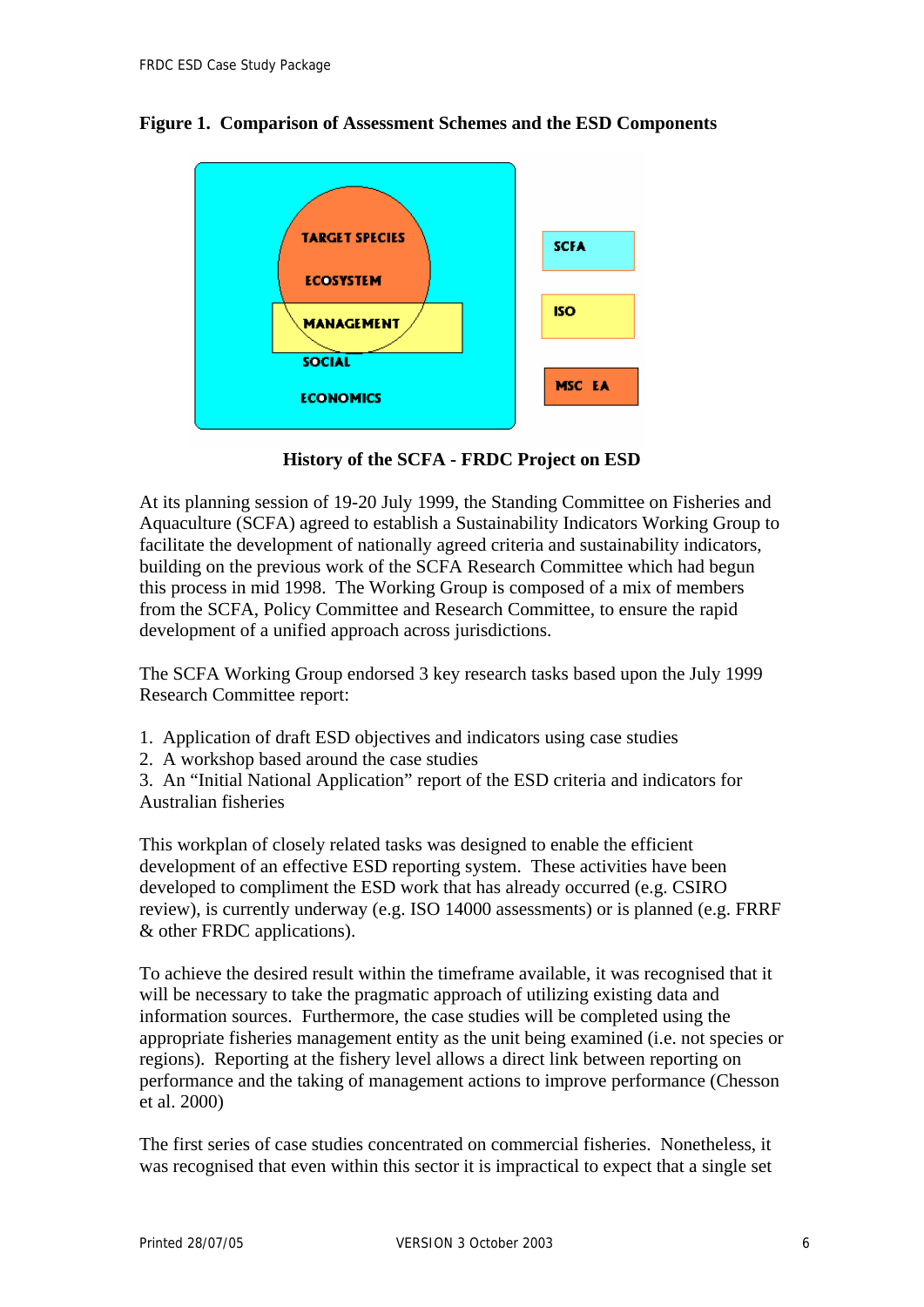### **Figure 1. Comparison of Assessment Schemes and the ESD Components**



**History of the SCFA - FRDC Project on ESD** 

At its planning session of 19-20 July 1999, the Standing Committee on Fisheries and Aquaculture (SCFA) agreed to establish a Sustainability Indicators Working Group to facilitate the development of nationally agreed criteria and sustainability indicators, building on the previous work of the SCFA Research Committee which had begun this process in mid 1998. The Working Group is composed of a mix of members from the SCFA, Policy Committee and Research Committee, to ensure the rapid development of a unified approach across jurisdictions.

The SCFA Working Group endorsed 3 key research tasks based upon the July 1999 Research Committee report:

- 1. Application of draft ESD objectives and indicators using case studies
- 2. A workshop based around the case studies

3. An "Initial National Application" report of the ESD criteria and indicators for Australian fisheries

This workplan of closely related tasks was designed to enable the efficient development of an effective ESD reporting system. These activities have been developed to compliment the ESD work that has already occurred (e.g. CSIRO review), is currently underway (e.g. ISO 14000 assessments) or is planned (e.g. FRRF & other FRDC applications).

To achieve the desired result within the timeframe available, it was recognised that it will be necessary to take the pragmatic approach of utilizing existing data and information sources. Furthermore, the case studies will be completed using the appropriate fisheries management entity as the unit being examined (i.e. not species or regions). Reporting at the fishery level allows a direct link between reporting on performance and the taking of management actions to improve performance (Chesson et al. 2000)

The first series of case studies concentrated on commercial fisheries. Nonetheless, it was recognised that even within this sector it is impractical to expect that a single set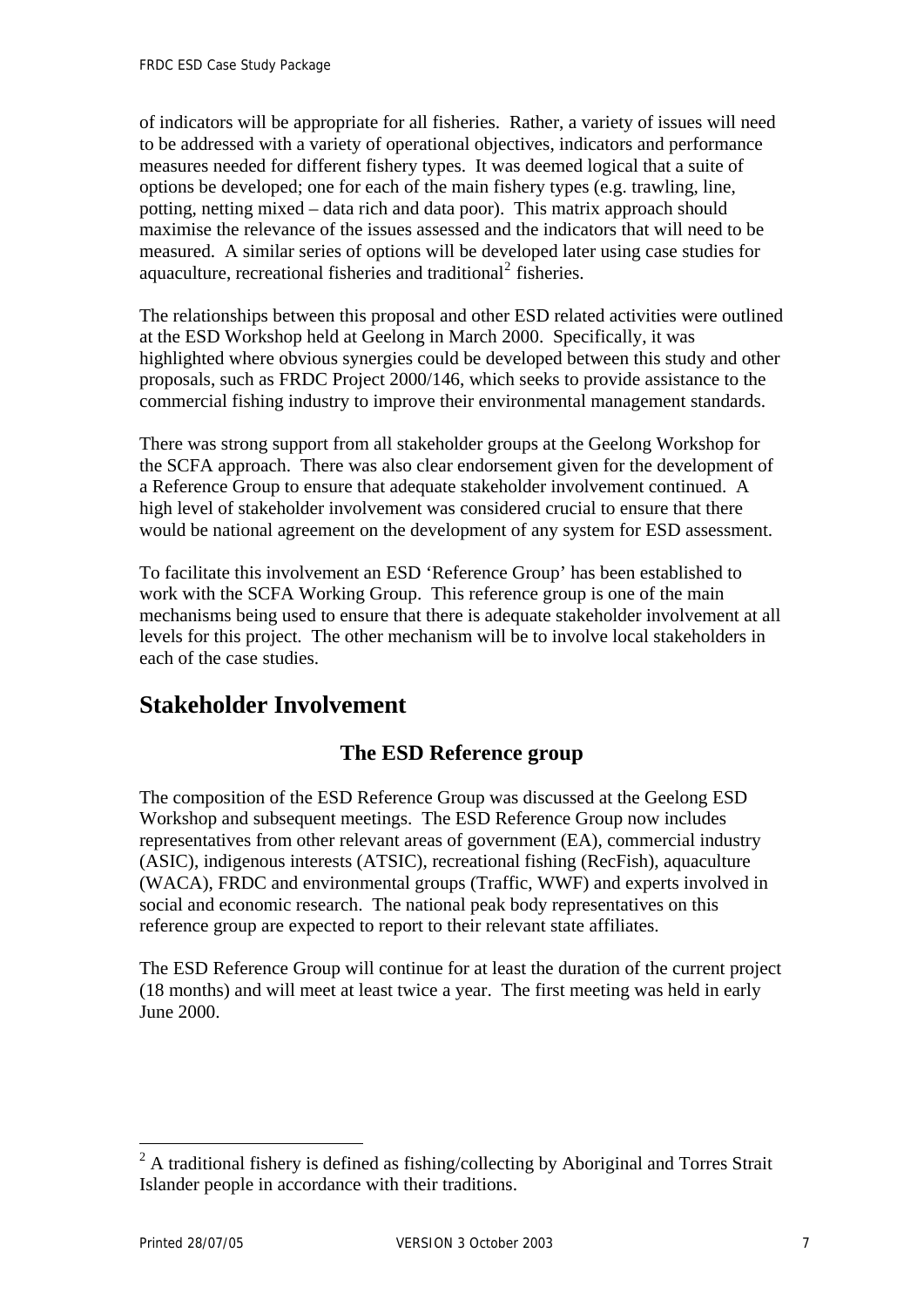<span id="page-9-0"></span>of indicators will be appropriate for all fisheries. Rather, a variety of issues will need to be addressed with a variety of operational objectives, indicators and performance measures needed for different fishery types. It was deemed logical that a suite of options be developed; one for each of the main fishery types (e.g. trawling, line, potting, netting mixed – data rich and data poor). This matrix approach should maximise the relevance of the issues assessed and the indicators that will need to be measured. A similar series of options will be developed later using case studies for aquaculture, recreational fisheries and traditional<sup>[2](#page-9-0)</sup> fisheries.

The relationships between this proposal and other ESD related activities were outlined at the ESD Workshop held at Geelong in March 2000. Specifically, it was highlighted where obvious synergies could be developed between this study and other proposals, such as FRDC Project 2000/146, which seeks to provide assistance to the commercial fishing industry to improve their environmental management standards.

There was strong support from all stakeholder groups at the Geelong Workshop for the SCFA approach. There was also clear endorsement given for the development of a Reference Group to ensure that adequate stakeholder involvement continued. A high level of stakeholder involvement was considered crucial to ensure that there would be national agreement on the development of any system for ESD assessment.

To facilitate this involvement an ESD 'Reference Group' has been established to work with the SCFA Working Group. This reference group is one of the main mechanisms being used to ensure that there is adequate stakeholder involvement at all levels for this project. The other mechanism will be to involve local stakeholders in each of the case studies.

# **Stakeholder Involvement**

# **The ESD Reference group**

The composition of the ESD Reference Group was discussed at the Geelong ESD Workshop and subsequent meetings. The ESD Reference Group now includes representatives from other relevant areas of government (EA), commercial industry (ASIC), indigenous interests (ATSIC), recreational fishing (RecFish), aquaculture (WACA), FRDC and environmental groups (Traffic, WWF) and experts involved in social and economic research. The national peak body representatives on this reference group are expected to report to their relevant state affiliates.

The ESD Reference Group will continue for at least the duration of the current project (18 months) and will meet at least twice a year. The first meeting was held in early June 2000.

 $\overline{a}$ 

 $2^2$  A traditional fishery is defined as fishing/collecting by Aboriginal and Torres Strait Islander people in accordance with their traditions.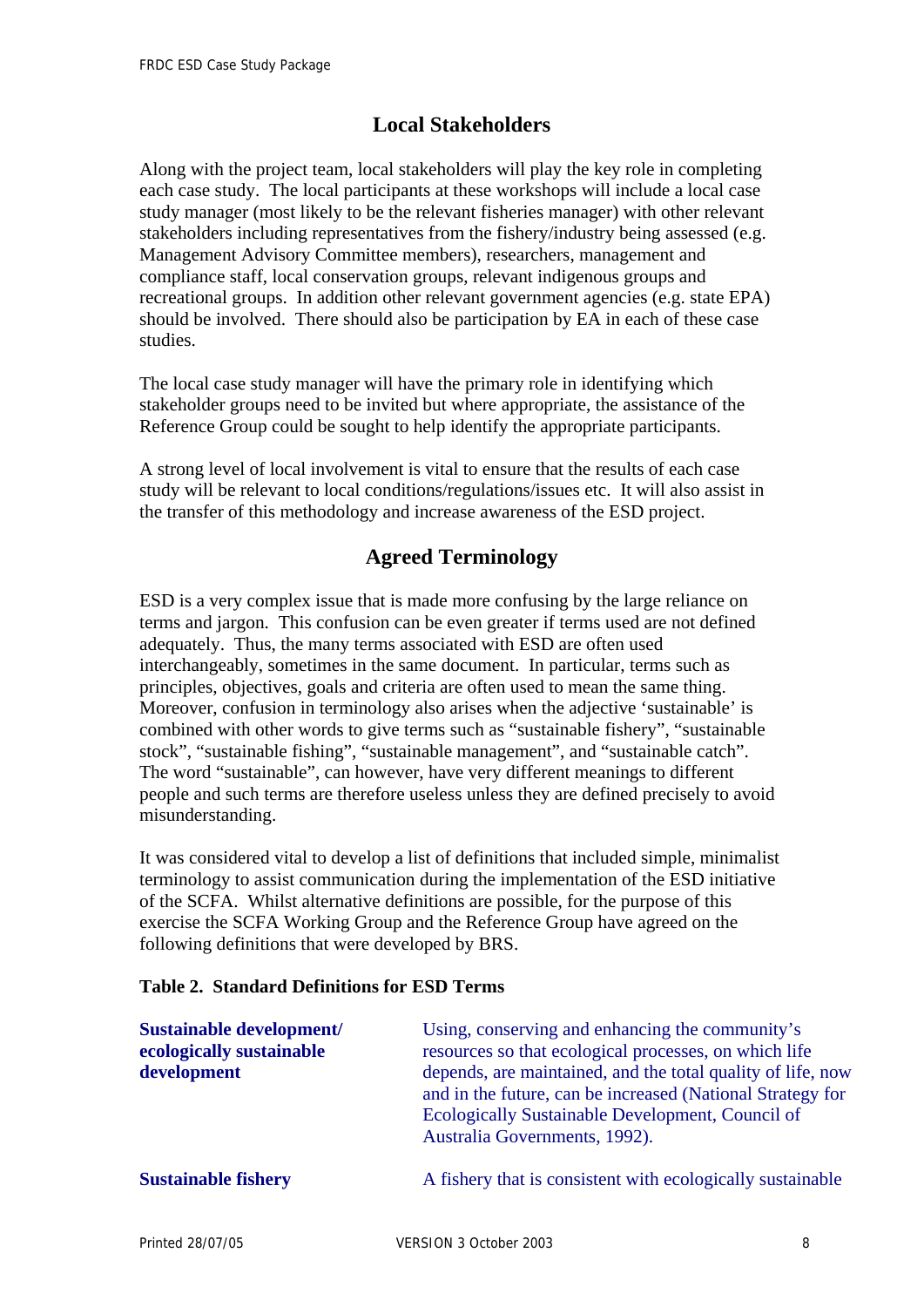# **Local Stakeholders**

Along with the project team, local stakeholders will play the key role in completing each case study. The local participants at these workshops will include a local case study manager (most likely to be the relevant fisheries manager) with other relevant stakeholders including representatives from the fishery/industry being assessed (e.g. Management Advisory Committee members), researchers, management and compliance staff, local conservation groups, relevant indigenous groups and recreational groups. In addition other relevant government agencies (e.g. state EPA) should be involved. There should also be participation by EA in each of these case studies.

The local case study manager will have the primary role in identifying which stakeholder groups need to be invited but where appropriate, the assistance of the Reference Group could be sought to help identify the appropriate participants.

A strong level of local involvement is vital to ensure that the results of each case study will be relevant to local conditions/regulations/issues etc. It will also assist in the transfer of this methodology and increase awareness of the ESD project.

# **Agreed Terminology**

ESD is a very complex issue that is made more confusing by the large reliance on terms and jargon. This confusion can be even greater if terms used are not defined adequately. Thus, the many terms associated with ESD are often used interchangeably, sometimes in the same document. In particular, terms such as principles, objectives, goals and criteria are often used to mean the same thing. Moreover, confusion in terminology also arises when the adjective 'sustainable' is combined with other words to give terms such as "sustainable fishery", "sustainable stock", "sustainable fishing", "sustainable management", and "sustainable catch". The word "sustainable", can however, have very different meanings to different people and such terms are therefore useless unless they are defined precisely to avoid misunderstanding.

It was considered vital to develop a list of definitions that included simple, minimalist terminology to assist communication during the implementation of the ESD initiative of the SCFA. Whilst alternative definitions are possible, for the purpose of this exercise the SCFA Working Group and the Reference Group have agreed on the following definitions that were developed by BRS.

#### **Table 2. Standard Definitions for ESD Terms**

| <b>Sustainable development/</b><br>ecologically sustainable<br>development | Using, conserving and enhancing the community's<br>resources so that ecological processes, on which life<br>depends, are maintained, and the total quality of life, now<br>and in the future, can be increased (National Strategy for<br>Ecologically Sustainable Development, Council of<br>Australia Governments, 1992). |
|----------------------------------------------------------------------------|----------------------------------------------------------------------------------------------------------------------------------------------------------------------------------------------------------------------------------------------------------------------------------------------------------------------------|
| <b>Sustainable fishery</b>                                                 | A fishery that is consistent with ecologically sustainable                                                                                                                                                                                                                                                                 |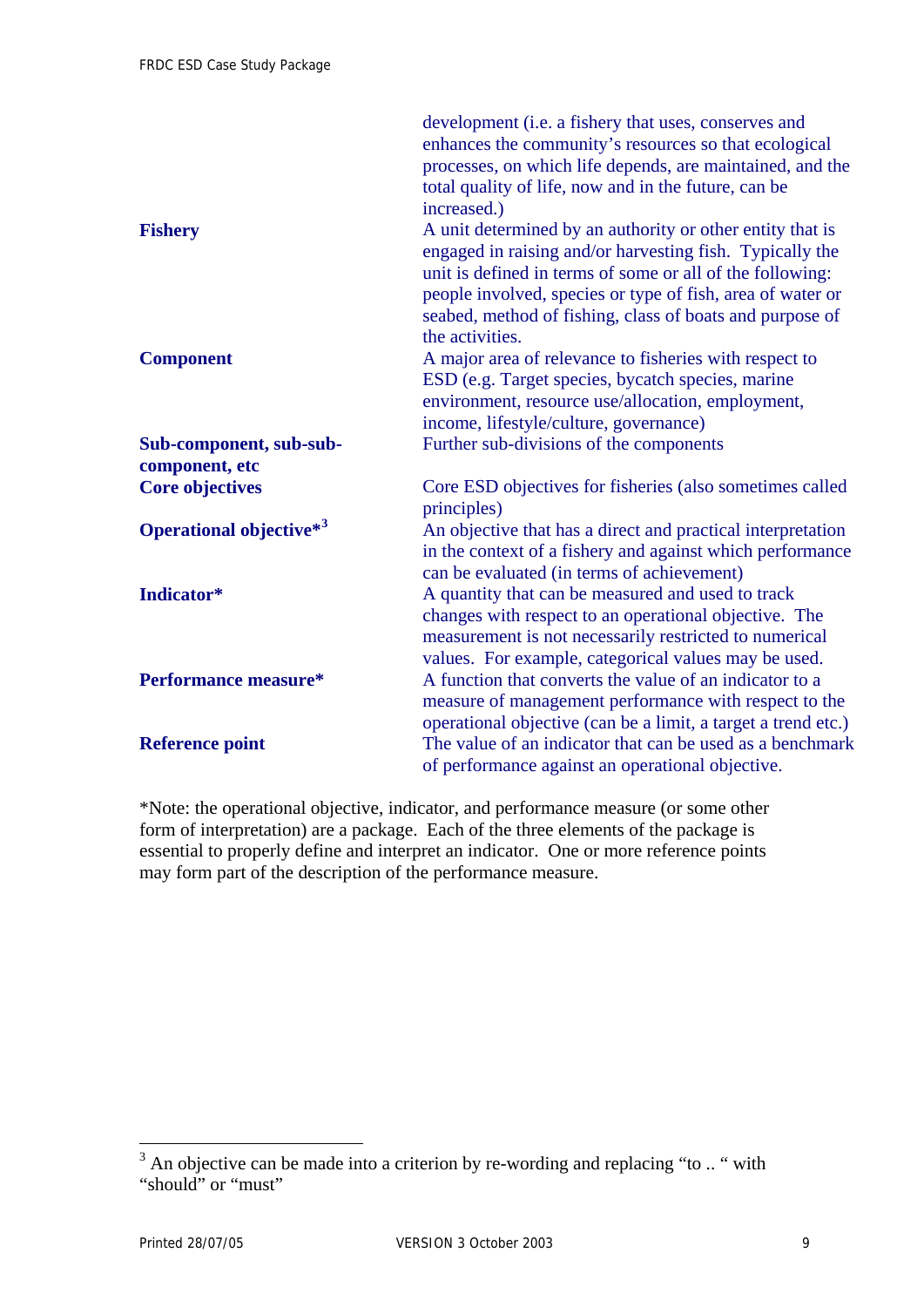<span id="page-11-0"></span>

|                                             | development (i.e. a fishery that uses, conserves and<br>enhances the community's resources so that ecological<br>processes, on which life depends, are maintained, and the<br>total quality of life, now and in the future, can be<br>increased.)                                                                               |
|---------------------------------------------|---------------------------------------------------------------------------------------------------------------------------------------------------------------------------------------------------------------------------------------------------------------------------------------------------------------------------------|
| <b>Fishery</b>                              | A unit determined by an authority or other entity that is<br>engaged in raising and/or harvesting fish. Typically the<br>unit is defined in terms of some or all of the following:<br>people involved, species or type of fish, area of water or<br>seabed, method of fishing, class of boats and purpose of<br>the activities. |
| <b>Component</b>                            | A major area of relevance to fisheries with respect to<br>ESD (e.g. Target species, bycatch species, marine<br>environment, resource use/allocation, employment,<br>income, lifestyle/culture, governance)                                                                                                                      |
| Sub-component, sub-sub-<br>component, etc   | Further sub-divisions of the components                                                                                                                                                                                                                                                                                         |
| <b>Core objectives</b>                      | Core ESD objectives for fisheries (also sometimes called<br>principles)                                                                                                                                                                                                                                                         |
| <b>Operational objective</b> * <sup>3</sup> | An objective that has a direct and practical interpretation<br>in the context of a fishery and against which performance<br>can be evaluated (in terms of achievement)                                                                                                                                                          |
| Indicator*                                  | A quantity that can be measured and used to track<br>changes with respect to an operational objective. The<br>measurement is not necessarily restricted to numerical<br>values. For example, categorical values may be used.                                                                                                    |
| <b>Performance measure*</b>                 | A function that converts the value of an indicator to a<br>measure of management performance with respect to the<br>operational objective (can be a limit, a target a trend etc.)                                                                                                                                               |
| <b>Reference point</b>                      | The value of an indicator that can be used as a benchmark<br>of performance against an operational objective.                                                                                                                                                                                                                   |

\*Note: the operational objective, indicator, and performance measure (or some other form of interpretation) are a package. Each of the three elements of the package is essential to properly define and interpret an indicator. One or more reference points may form part of the description of the performance measure.

<sup>&</sup>lt;sup>3</sup> An objective can be made into a criterion by re-wording and replacing "to .. " with "should" or "must"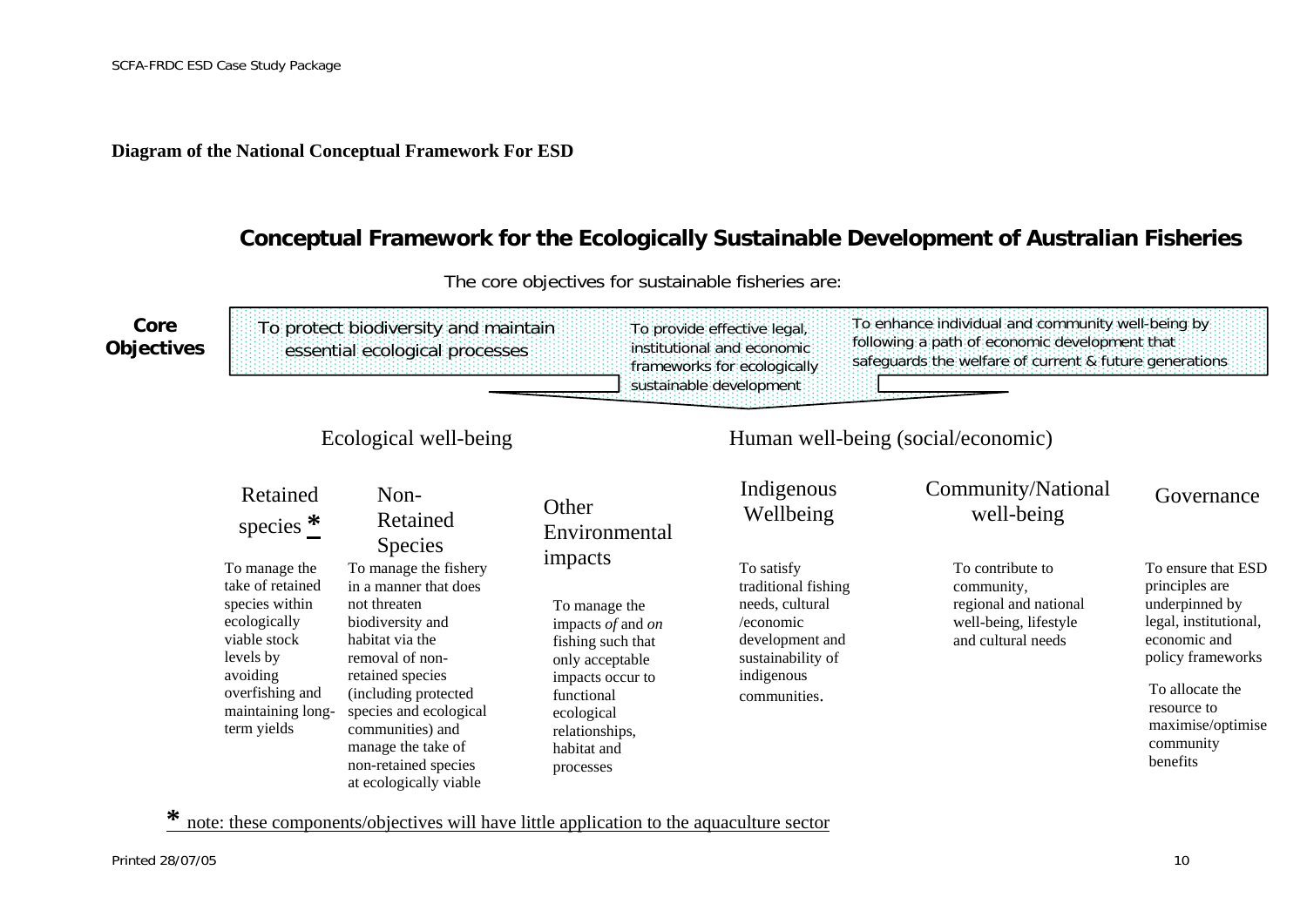**Diagram of the National Conceptual Framework For ESD** 

### **Conceptual Framework for the Ecologically Sustainable Development of Australian Fisheries**



The core objectives for sustainable fisheries are:

<span id="page-12-0"></span>**\*** note: these components/objectives will have little application to the aquaculture sector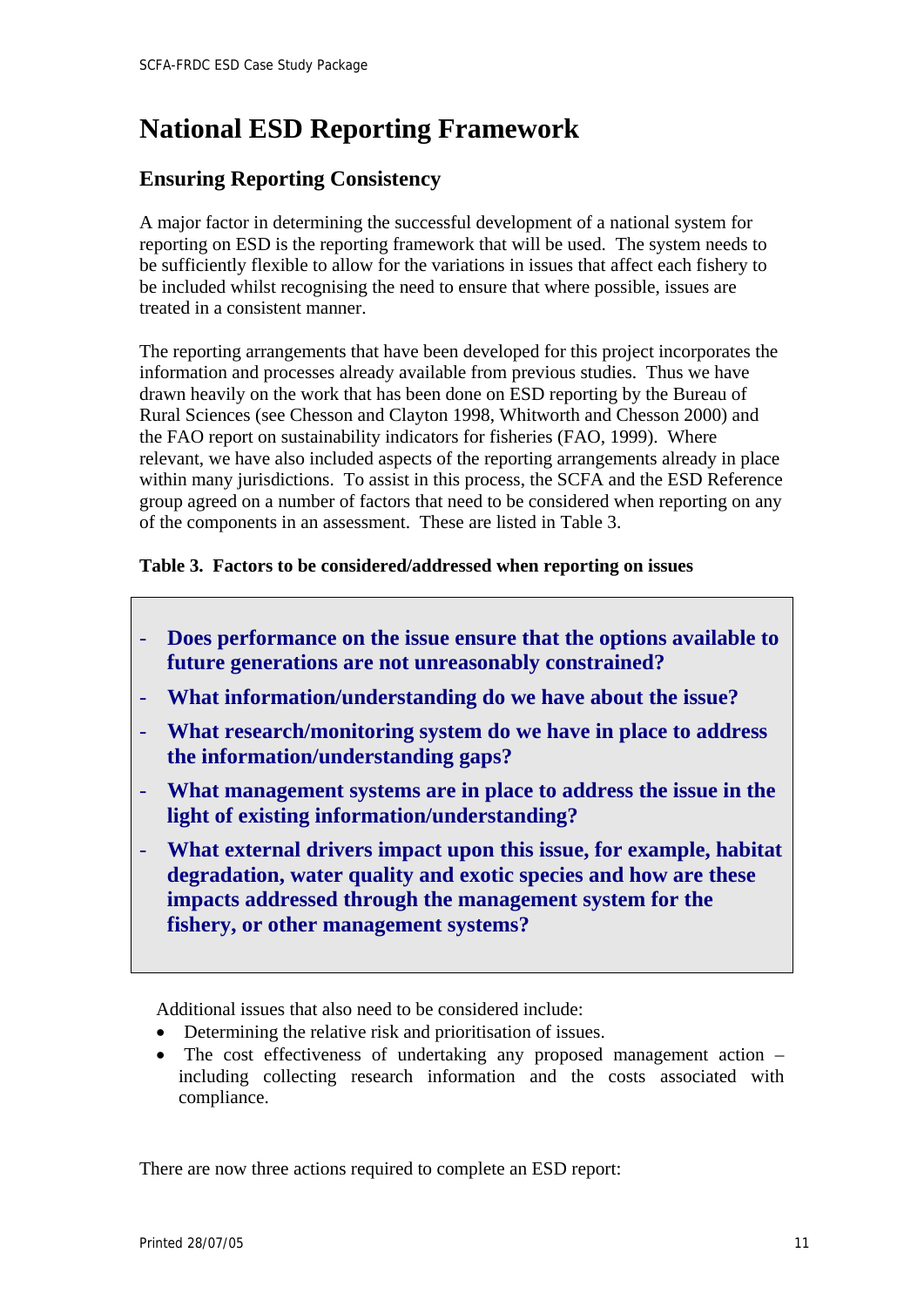# <span id="page-13-0"></span>**National ESD Reporting Framework**

# **Ensuring Reporting Consistency**

A major factor in determining the successful development of a national system for reporting on ESD is the reporting framework that will be used. The system needs to be sufficiently flexible to allow for the variations in issues that affect each fishery to be included whilst recognising the need to ensure that where possible, issues are treated in a consistent manner.

The reporting arrangements that have been developed for this project incorporates the information and processes already available from previous studies. Thus we have drawn heavily on the work that has been done on ESD reporting by the Bureau of Rural Sciences (see Chesson and Clayton 1998, Whitworth and Chesson 2000) and the FAO report on sustainability indicators for fisheries (FAO, 1999). Where relevant, we have also included aspects of the reporting arrangements already in place within many jurisdictions. To assist in this process, the SCFA and the ESD Reference group agreed on a number of factors that need to be considered when reporting on any of the components in an assessment. These are listed in Table 3.

### **Table 3. Factors to be considered/addressed when reporting on issues**

- **Does performance on the issue ensure that the options available to future generations are not unreasonably constrained?**
- **What information/understanding do we have about the issue?**
- **What research/monitoring system do we have in place to address the information/understanding gaps?**
- **What management systems are in place to address the issue in the light of existing information/understanding?**
- **What external drivers impact upon this issue, for example, habitat degradation, water quality and exotic species and how are these impacts addressed through the management system for the fishery, or other management systems?**

Additional issues that also need to be considered include:

- Determining the relative risk and prioritisation of issues.
- The cost effectiveness of undertaking any proposed management action including collecting research information and the costs associated with compliance.

There are now three actions required to complete an ESD report: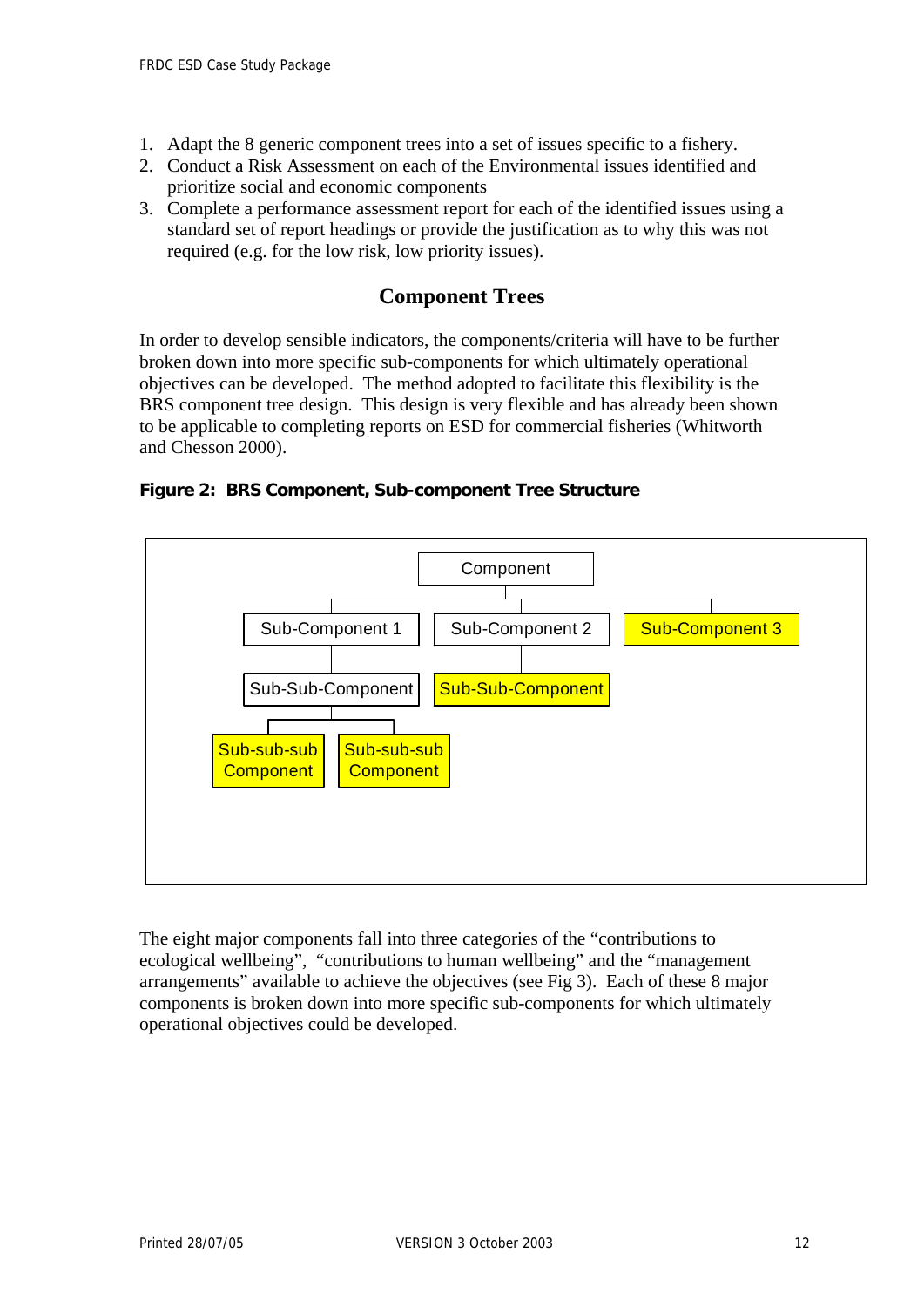- 1. Adapt the 8 generic component trees into a set of issues specific to a fishery.
- 2. Conduct a Risk Assessment on each of the Environmental issues identified and prioritize social and economic components
- 3. Complete a performance assessment report for each of the identified issues using a standard set of report headings or provide the justification as to why this was not required (e.g. for the low risk, low priority issues).

# **Component Trees**

In order to develop sensible indicators, the components/criteria will have to be further broken down into more specific sub-components for which ultimately operational objectives can be developed. The method adopted to facilitate this flexibility is the BRS component tree design. This design is very flexible and has already been shown to be applicable to completing reports on ESD for commercial fisheries (Whitworth and Chesson 2000).





The eight major components fall into three categories of the "contributions to ecological wellbeing", "contributions to human wellbeing" and the "management arrangements" available to achieve the objectives (see Fig 3). Each of these 8 major components is broken down into more specific sub-components for which ultimately operational objectives could be developed.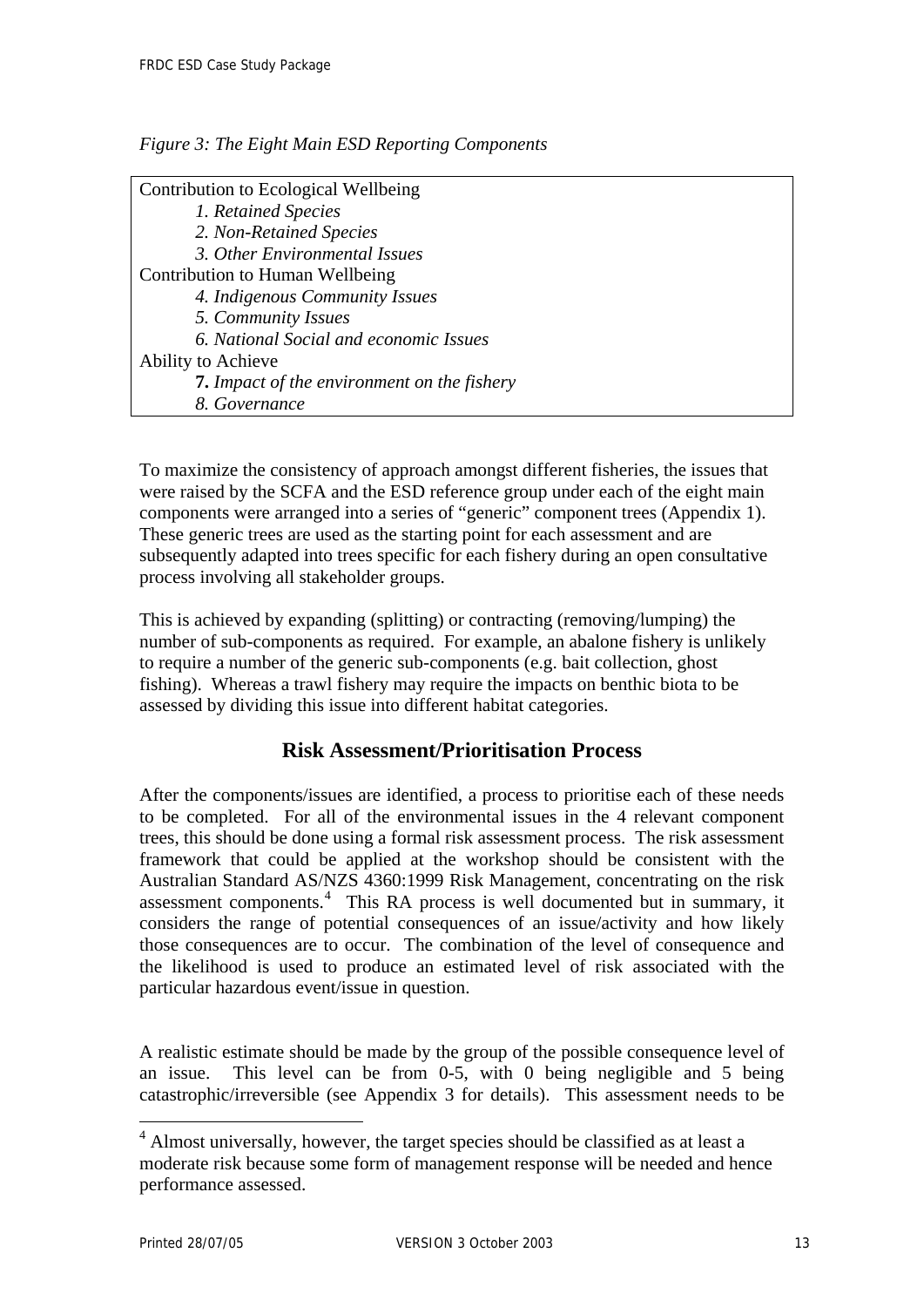<span id="page-15-0"></span>

|  |  |  | Figure 3: The Eight Main ESD Reporting Components |
|--|--|--|---------------------------------------------------|
|  |  |  |                                                   |

To maximize the consistency of approach amongst different fisheries, the issues that were raised by the SCFA and the ESD reference group under each of the eight main components were arranged into a series of "generic" component trees (Appendix 1). These generic trees are used as the starting point for each assessment and are subsequently adapted into trees specific for each fishery during an open consultative process involving all stakeholder groups.

This is achieved by expanding (splitting) or contracting (removing/lumping) the number of sub-components as required. For example, an abalone fishery is unlikely to require a number of the generic sub-components (e.g. bait collection, ghost fishing). Whereas a trawl fishery may require the impacts on benthic biota to be assessed by dividing this issue into different habitat categories.

# **Risk Assessment/Prioritisation Process**

After the components/issues are identified, a process to prioritise each of these needs to be completed. For all of the environmental issues in the 4 relevant component trees, this should be done using a formal risk assessment process. The risk assessment framework that could be applied at the workshop should be consistent with the Australian Standard AS/NZS 4360:1999 Risk Management, concentrating on the risk assessment components.<sup>[4](#page-15-0)</sup> This RA process is well documented but in summary, it considers the range of potential consequences of an issue/activity and how likely those consequences are to occur. The combination of the level of consequence and the likelihood is used to produce an estimated level of risk associated with the particular hazardous event/issue in question.

A realistic estimate should be made by the group of the possible consequence level of an issue. This level can be from 0-5, with 0 being negligible and 5 being catastrophic/irreversible (see Appendix 3 for details). This assessment needs to be

 $\overline{a}$ 

<sup>&</sup>lt;sup>4</sup> Almost universally, however, the target species should be classified as at least a moderate risk because some form of management response will be needed and hence performance assessed.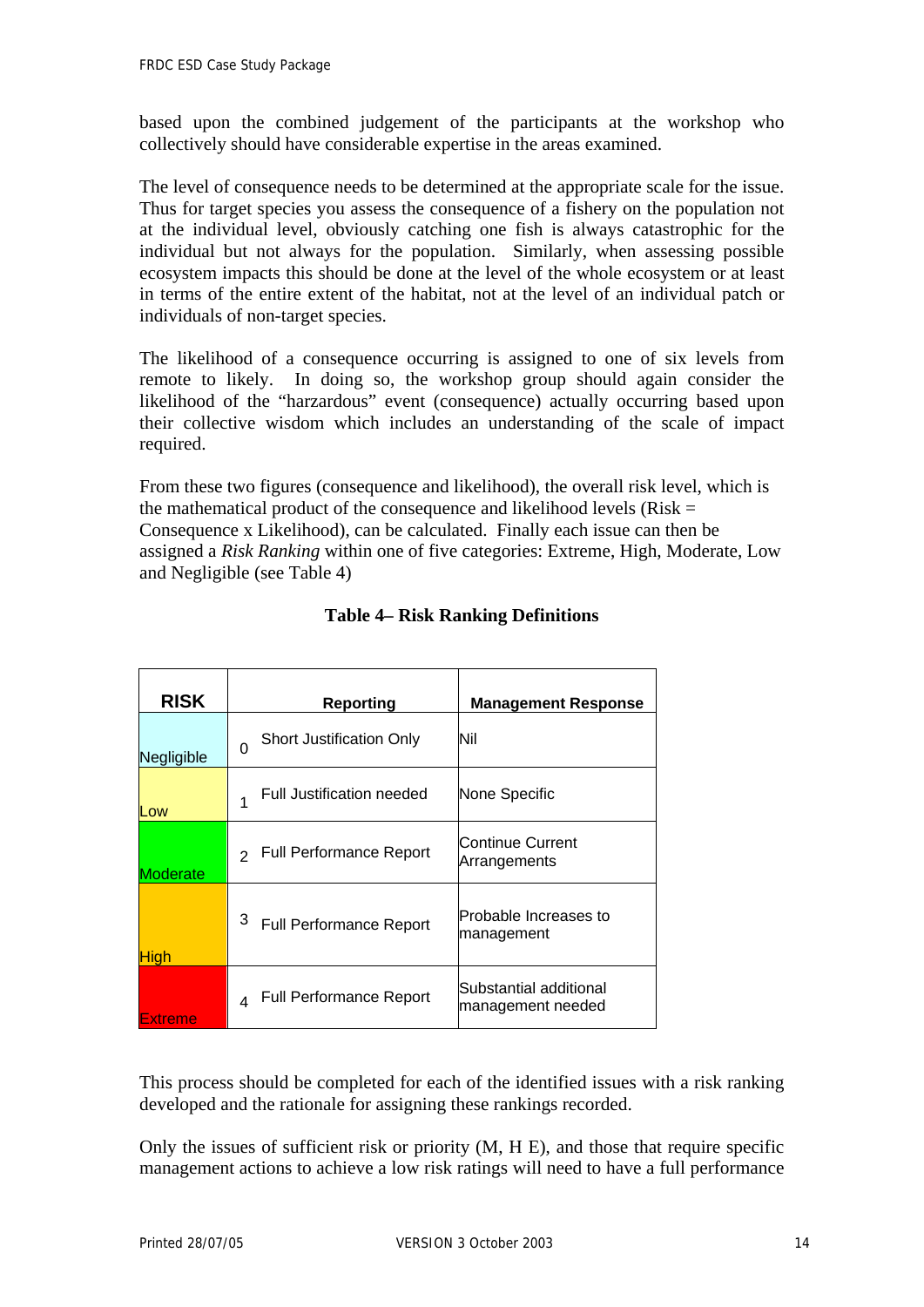based upon the combined judgement of the participants at the workshop who collectively should have considerable expertise in the areas examined.

The level of consequence needs to be determined at the appropriate scale for the issue. Thus for target species you assess the consequence of a fishery on the population not at the individual level, obviously catching one fish is always catastrophic for the individual but not always for the population. Similarly, when assessing possible ecosystem impacts this should be done at the level of the whole ecosystem or at least in terms of the entire extent of the habitat, not at the level of an individual patch or individuals of non-target species.

The likelihood of a consequence occurring is assigned to one of six levels from remote to likely. In doing so, the workshop group should again consider the likelihood of the "harzardous" event (consequence) actually occurring based upon their collective wisdom which includes an understanding of the scale of impact required.

From these two figures (consequence and likelihood), the overall risk level, which is the mathematical product of the consequence and likelihood levels ( $Risk =$ Consequence x Likelihood), can be calculated. Finally each issue can then be assigned a *Risk Ranking* within one of five categories: Extreme, High, Moderate, Low and Negligible (see Table 4)

| <b>RISK</b> | <b>Reporting</b>                                         | <b>Management Response</b>                  |
|-------------|----------------------------------------------------------|---------------------------------------------|
| Negligible  | <b>Short Justification Only</b><br>$\Omega$              | Nil                                         |
| Low         | <b>Full Justification needed</b>                         | None Specific                               |
| Moderate    | <b>Full Performance Report</b><br>$\mathcal{L}$          | Continue Current<br>Arrangements            |
| <b>High</b> | 3<br><b>Full Performance Report</b>                      | Probable Increases to<br>management         |
| Extreme     | <b>Full Performance Report</b><br>$\boldsymbol{\Lambda}$ | Substantial additional<br>management needed |

### **Table 4– Risk Ranking Definitions**

This process should be completed for each of the identified issues with a risk ranking developed and the rationale for assigning these rankings recorded.

Only the issues of sufficient risk or priority (M, H E), and those that require specific management actions to achieve a low risk ratings will need to have a full performance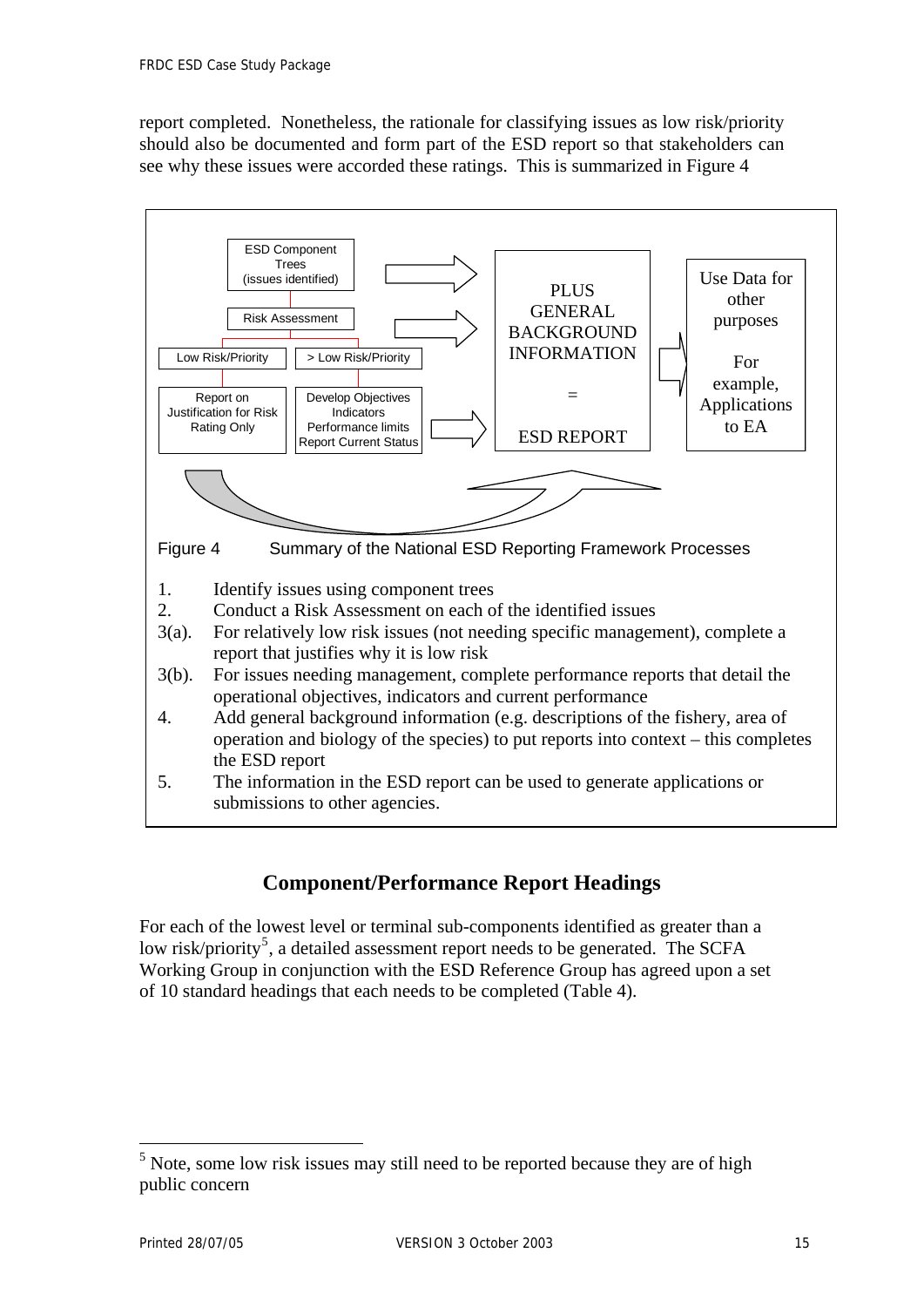<span id="page-17-0"></span>report completed. Nonetheless, the rationale for classifying issues as low risk/priority should also be documented and form part of the ESD report so that stakeholders can see why these issues were accorded these ratings. This is summarized in Figure 4



# **Component/Performance Report Headings**

For each of the lowest level or terminal sub-components identified as greater than a low risk/priority<sup>[5](#page-17-0)</sup>, a detailed assessment report needs to be generated. The SCFA Working Group in conjunction with the ESD Reference Group has agreed upon a set of 10 standard headings that each needs to be completed (Table 4).

 $\overline{a}$ 

 $<sup>5</sup>$  Note, some low risk issues may still need to be reported because they are of high</sup> public concern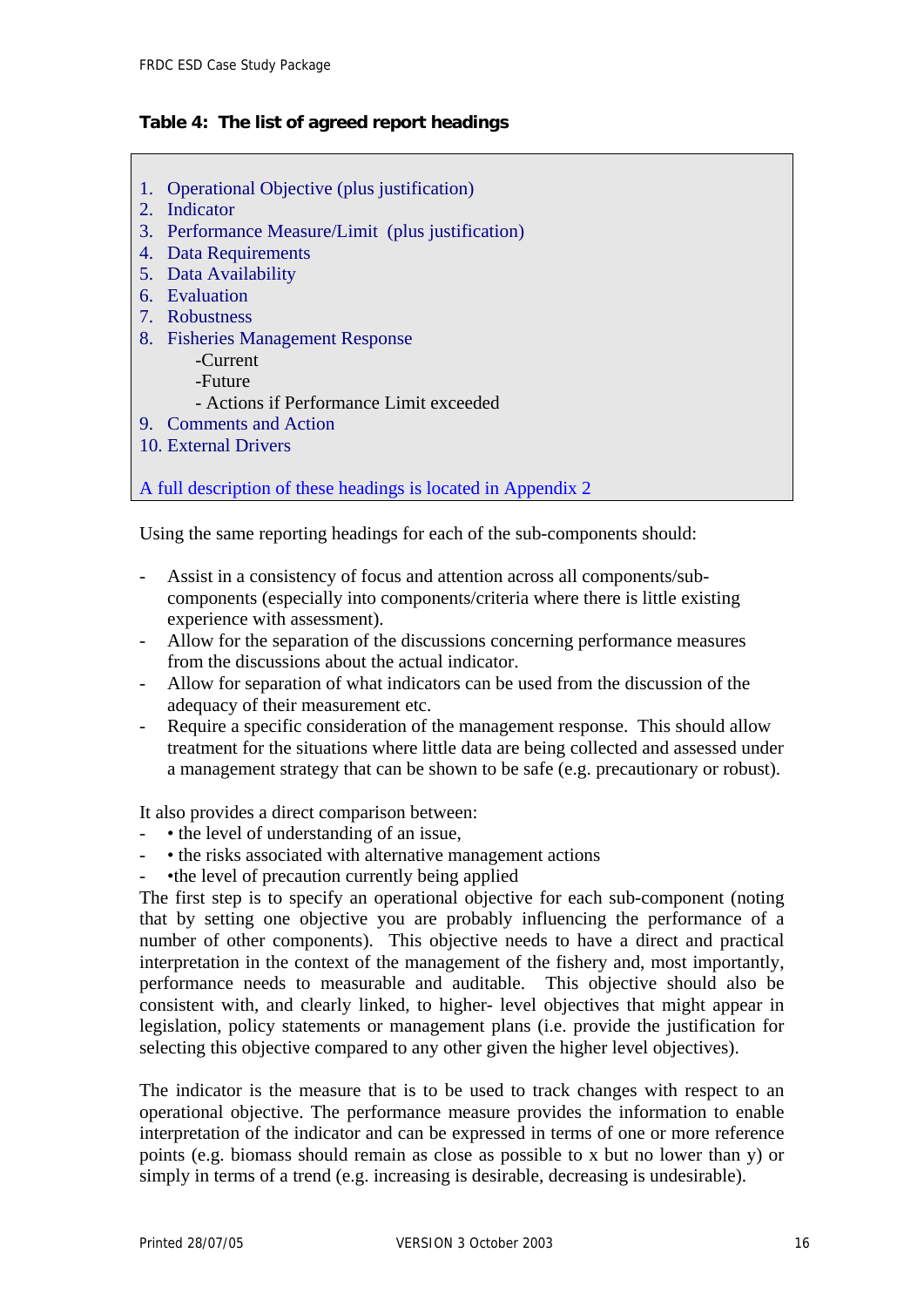#### **Table 4: The list of agreed report headings**

- 1. Operational Objective (plus justification)
- 2. Indicator
- 3. Performance Measure/Limit (plus justification)
- 4. Data Requirements
- 5. Data Availability
- 6. Evaluation
- 7. Robustness
- 8. Fisheries Management Response
	- -Current
		- -Future
	- Actions if Performance Limit exceeded
- 9. Comments and Action
- 10. External Drivers

A full description of these headings is located in Appendix 2

Using the same reporting headings for each of the sub-components should:

- Assist in a consistency of focus and attention across all components/subcomponents (especially into components/criteria where there is little existing experience with assessment).
- Allow for the separation of the discussions concerning performance measures from the discussions about the actual indicator.
- Allow for separation of what indicators can be used from the discussion of the adequacy of their measurement etc.
- Require a specific consideration of the management response. This should allow treatment for the situations where little data are being collected and assessed under a management strategy that can be shown to be safe (e.g. precautionary or robust).

It also provides a direct comparison between:

- • the level of understanding of an issue,
- • the risks associated with alternative management actions
- •the level of precaution currently being applied

The first step is to specify an operational objective for each sub-component (noting that by setting one objective you are probably influencing the performance of a number of other components). This objective needs to have a direct and practical interpretation in the context of the management of the fishery and, most importantly, performance needs to measurable and auditable. This objective should also be consistent with, and clearly linked, to higher- level objectives that might appear in legislation, policy statements or management plans (i.e. provide the justification for selecting this objective compared to any other given the higher level objectives).

The indicator is the measure that is to be used to track changes with respect to an operational objective. The performance measure provides the information to enable interpretation of the indicator and can be expressed in terms of one or more reference points (e.g. biomass should remain as close as possible to x but no lower than y) or simply in terms of a trend (e.g. increasing is desirable, decreasing is undesirable).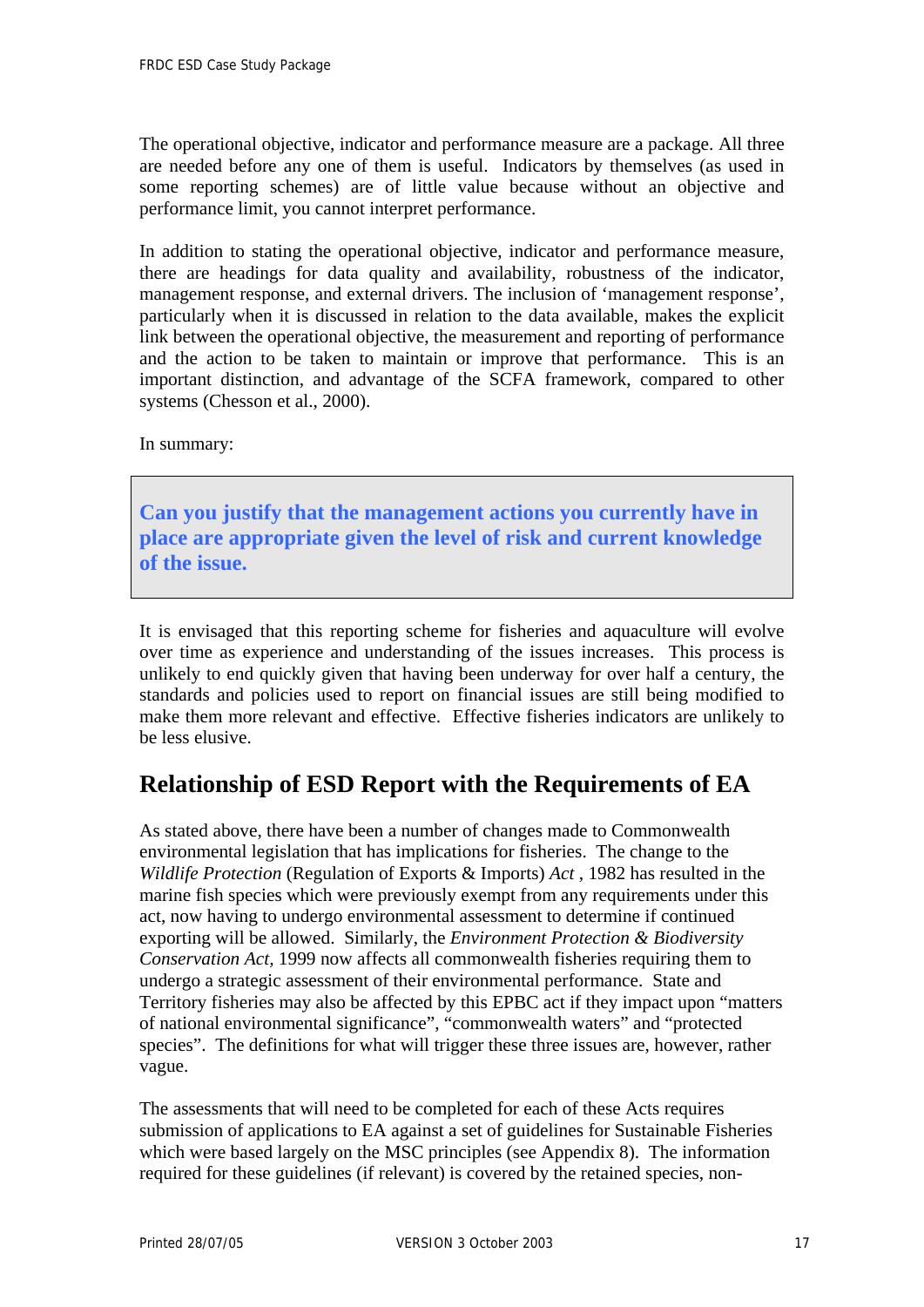<span id="page-19-0"></span>The operational objective, indicator and performance measure are a package. All three are needed before any one of them is useful. Indicators by themselves (as used in some reporting schemes) are of little value because without an objective and performance limit, you cannot interpret performance.

In addition to stating the operational objective, indicator and performance measure, there are headings for data quality and availability, robustness of the indicator, management response, and external drivers. The inclusion of 'management response', particularly when it is discussed in relation to the data available, makes the explicit link between the operational objective, the measurement and reporting of performance and the action to be taken to maintain or improve that performance. This is an important distinction, and advantage of the SCFA framework, compared to other systems (Chesson et al., 2000).

In summary:

**Can you justify that the management actions you currently have in place are appropriate given the level of risk and current knowledge of the issue.** 

It is envisaged that this reporting scheme for fisheries and aquaculture will evolve over time as experience and understanding of the issues increases. This process is unlikely to end quickly given that having been underway for over half a century, the standards and policies used to report on financial issues are still being modified to make them more relevant and effective. Effective fisheries indicators are unlikely to be less elusive.

# **Relationship of ESD Report with the Requirements of EA**

As stated above, there have been a number of changes made to Commonwealth environmental legislation that has implications for fisheries. The change to the *Wildlife Protection* (Regulation of Exports & Imports) *Act* , 1982 has resulted in the marine fish species which were previously exempt from any requirements under this act, now having to undergo environmental assessment to determine if continued exporting will be allowed. Similarly, the *Environment Protection & Biodiversity Conservation Act,* 1999 now affects all commonwealth fisheries requiring them to undergo a strategic assessment of their environmental performance. State and Territory fisheries may also be affected by this EPBC act if they impact upon "matters of national environmental significance", "commonwealth waters" and "protected species". The definitions for what will trigger these three issues are, however, rather vague.

The assessments that will need to be completed for each of these Acts requires submission of applications to EA against a set of guidelines for Sustainable Fisheries which were based largely on the MSC principles (see Appendix 8). The information required for these guidelines (if relevant) is covered by the retained species, non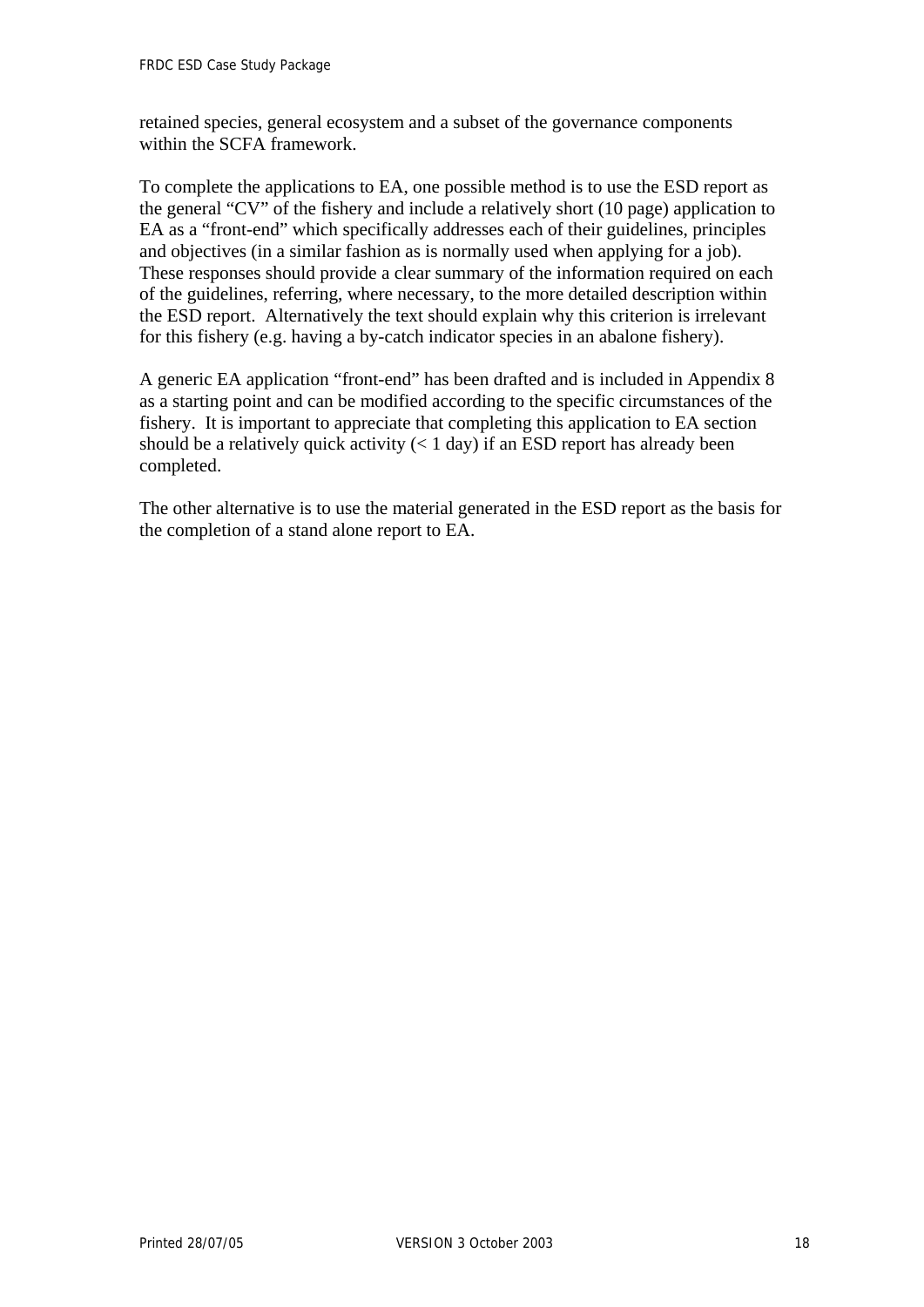retained species, general ecosystem and a subset of the governance components within the SCFA framework.

To complete the applications to EA, one possible method is to use the ESD report as the general "CV" of the fishery and include a relatively short (10 page) application to EA as a "front-end" which specifically addresses each of their guidelines, principles and objectives (in a similar fashion as is normally used when applying for a job). These responses should provide a clear summary of the information required on each of the guidelines, referring, where necessary, to the more detailed description within the ESD report. Alternatively the text should explain why this criterion is irrelevant for this fishery (e.g. having a by-catch indicator species in an abalone fishery).

A generic EA application "front-end" has been drafted and is included in Appendix 8 as a starting point and can be modified according to the specific circumstances of the fishery. It is important to appreciate that completing this application to EA section should be a relatively quick activity  $(< 1 \text{ day})$  if an ESD report has already been completed.

The other alternative is to use the material generated in the ESD report as the basis for the completion of a stand alone report to EA.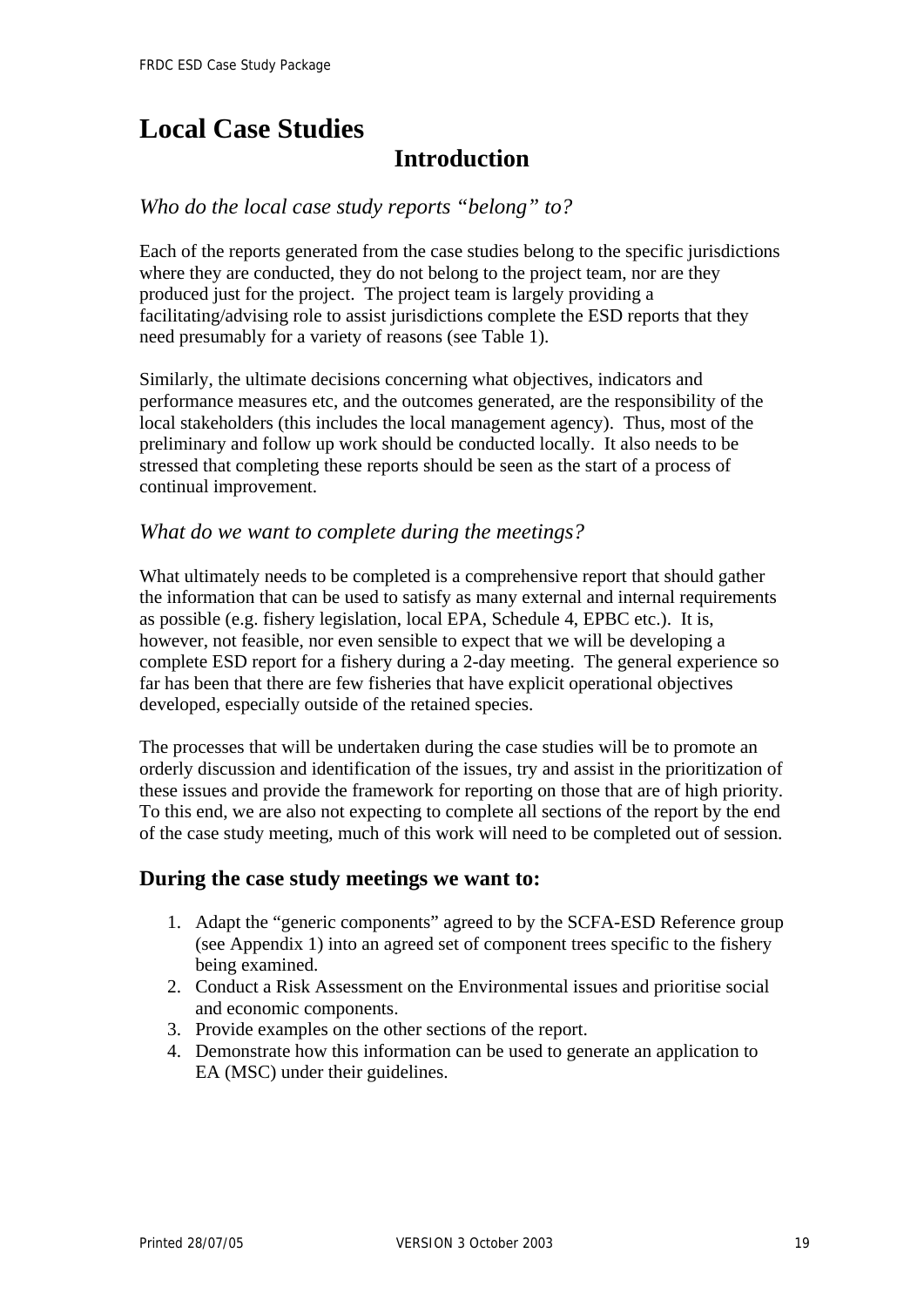# <span id="page-21-0"></span>**Local Case Studies**

# **Introduction**

## *Who do the local case study reports "belong" to?*

Each of the reports generated from the case studies belong to the specific jurisdictions where they are conducted, they do not belong to the project team, nor are they produced just for the project. The project team is largely providing a facilitating/advising role to assist jurisdictions complete the ESD reports that they need presumably for a variety of reasons (see Table 1).

Similarly, the ultimate decisions concerning what objectives, indicators and performance measures etc, and the outcomes generated, are the responsibility of the local stakeholders (this includes the local management agency). Thus, most of the preliminary and follow up work should be conducted locally. It also needs to be stressed that completing these reports should be seen as the start of a process of continual improvement.

### *What do we want to complete during the meetings?*

What ultimately needs to be completed is a comprehensive report that should gather the information that can be used to satisfy as many external and internal requirements as possible (e.g. fishery legislation, local EPA, Schedule 4, EPBC etc.). It is, however, not feasible, nor even sensible to expect that we will be developing a complete ESD report for a fishery during a 2-day meeting. The general experience so far has been that there are few fisheries that have explicit operational objectives developed, especially outside of the retained species.

The processes that will be undertaken during the case studies will be to promote an orderly discussion and identification of the issues, try and assist in the prioritization of these issues and provide the framework for reporting on those that are of high priority. To this end, we are also not expecting to complete all sections of the report by the end of the case study meeting, much of this work will need to be completed out of session.

### **During the case study meetings we want to:**

- 1. Adapt the "generic components" agreed to by the SCFA-ESD Reference group (see Appendix 1) into an agreed set of component trees specific to the fishery being examined.
- 2. Conduct a Risk Assessment on the Environmental issues and prioritise social and economic components.
- 3. Provide examples on the other sections of the report.
- 4. Demonstrate how this information can be used to generate an application to EA (MSC) under their guidelines.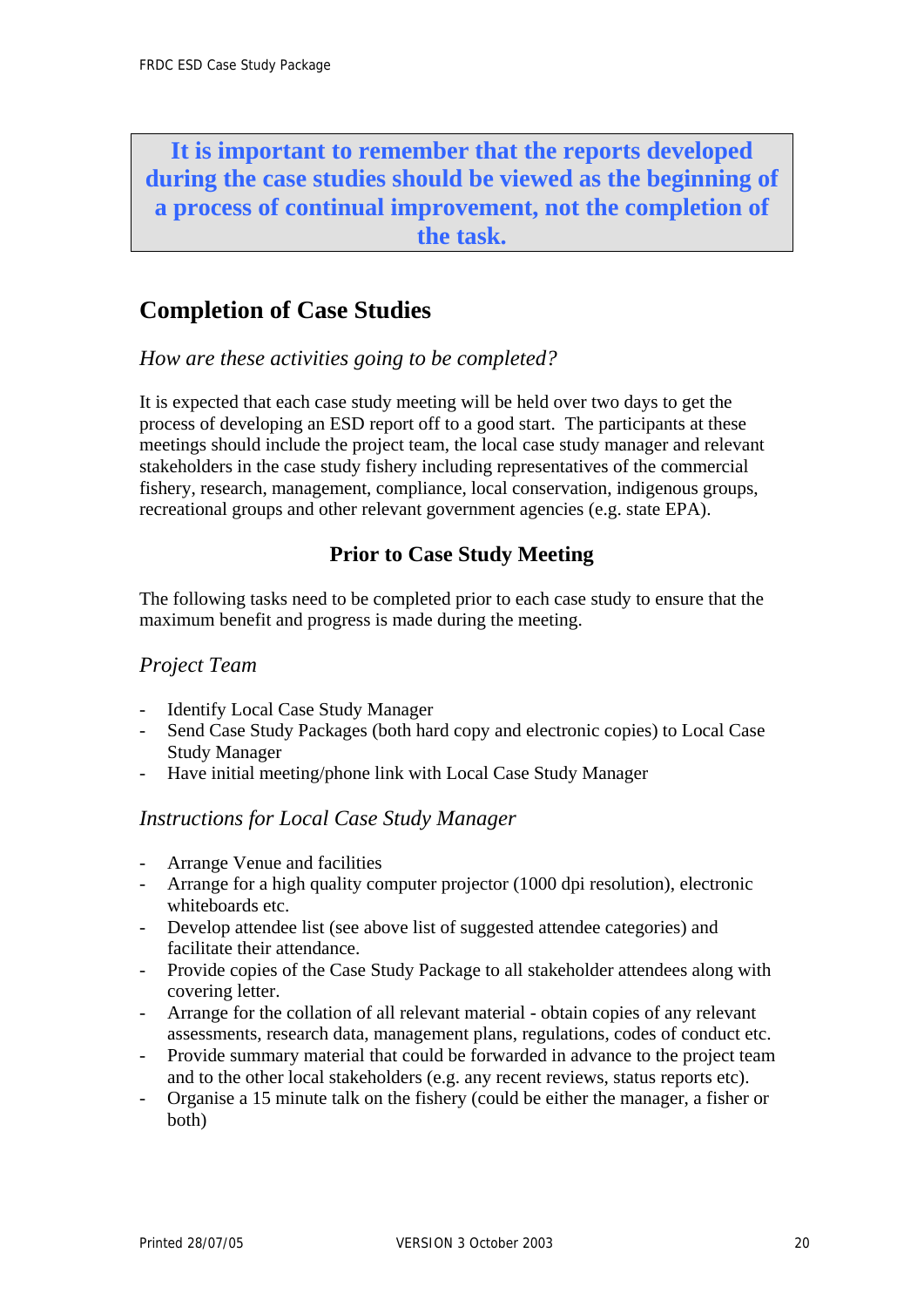<span id="page-22-0"></span>**It is important to remember that the reports developed during the case studies should be viewed as the beginning of a process of continual improvement, not the completion of the task.** 

# **Completion of Case Studies**

*How are these activities going to be completed?* 

It is expected that each case study meeting will be held over two days to get the process of developing an ESD report off to a good start. The participants at these meetings should include the project team, the local case study manager and relevant stakeholders in the case study fishery including representatives of the commercial fishery, research, management, compliance, local conservation, indigenous groups, recreational groups and other relevant government agencies (e.g. state EPA).

# **Prior to Case Study Meeting**

The following tasks need to be completed prior to each case study to ensure that the maximum benefit and progress is made during the meeting.

## *Project Team*

- Identify Local Case Study Manager
- Send Case Study Packages (both hard copy and electronic copies) to Local Case Study Manager
- Have initial meeting/phone link with Local Case Study Manager

## *Instructions for Local Case Study Manager*

- Arrange Venue and facilities
- Arrange for a high quality computer projector (1000 dpi resolution), electronic whiteboards etc.
- Develop attendee list (see above list of suggested attendee categories) and facilitate their attendance.
- Provide copies of the Case Study Package to all stakeholder attendees along with covering letter.
- Arrange for the collation of all relevant material obtain copies of any relevant assessments, research data, management plans, regulations, codes of conduct etc.
- Provide summary material that could be forwarded in advance to the project team and to the other local stakeholders (e.g. any recent reviews, status reports etc).
- Organise a 15 minute talk on the fishery (could be either the manager, a fisher or both)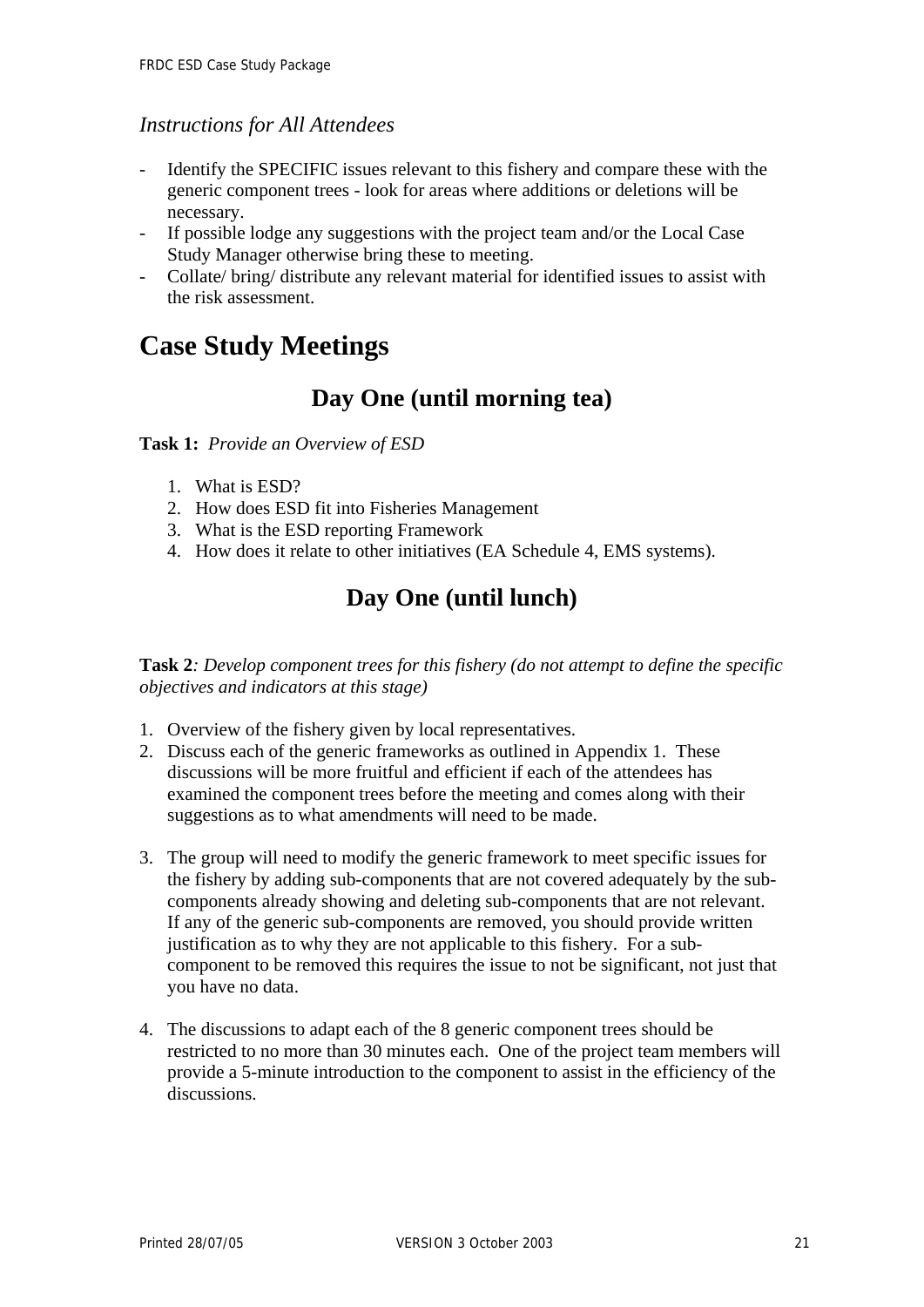### <span id="page-23-0"></span>*Instructions for All Attendees*

- Identify the SPECIFIC issues relevant to this fishery and compare these with the generic component trees - look for areas where additions or deletions will be necessary.
- If possible lodge any suggestions with the project team and/or the Local Case Study Manager otherwise bring these to meeting.
- Collate/ bring/ distribute any relevant material for identified issues to assist with the risk assessment.

# **Case Study Meetings**

# **Day One (until morning tea)**

**Task 1:** *Provide an Overview of ESD* 

- 1. What is ESD?
- 2. How does ESD fit into Fisheries Management
- 3. What is the ESD reporting Framework
- 4. How does it relate to other initiatives (EA Schedule 4, EMS systems).

# **Day One (until lunch)**

**Task 2***: Develop component trees for this fishery (do not attempt to define the specific objectives and indicators at this stage)* 

- 1. Overview of the fishery given by local representatives.
- 2. Discuss each of the generic frameworks as outlined in Appendix 1. These discussions will be more fruitful and efficient if each of the attendees has examined the component trees before the meeting and comes along with their suggestions as to what amendments will need to be made.
- 3. The group will need to modify the generic framework to meet specific issues for the fishery by adding sub-components that are not covered adequately by the subcomponents already showing and deleting sub-components that are not relevant. If any of the generic sub-components are removed, you should provide written justification as to why they are not applicable to this fishery. For a subcomponent to be removed this requires the issue to not be significant, not just that you have no data.
- 4. The discussions to adapt each of the 8 generic component trees should be restricted to no more than 30 minutes each. One of the project team members will provide a 5-minute introduction to the component to assist in the efficiency of the discussions.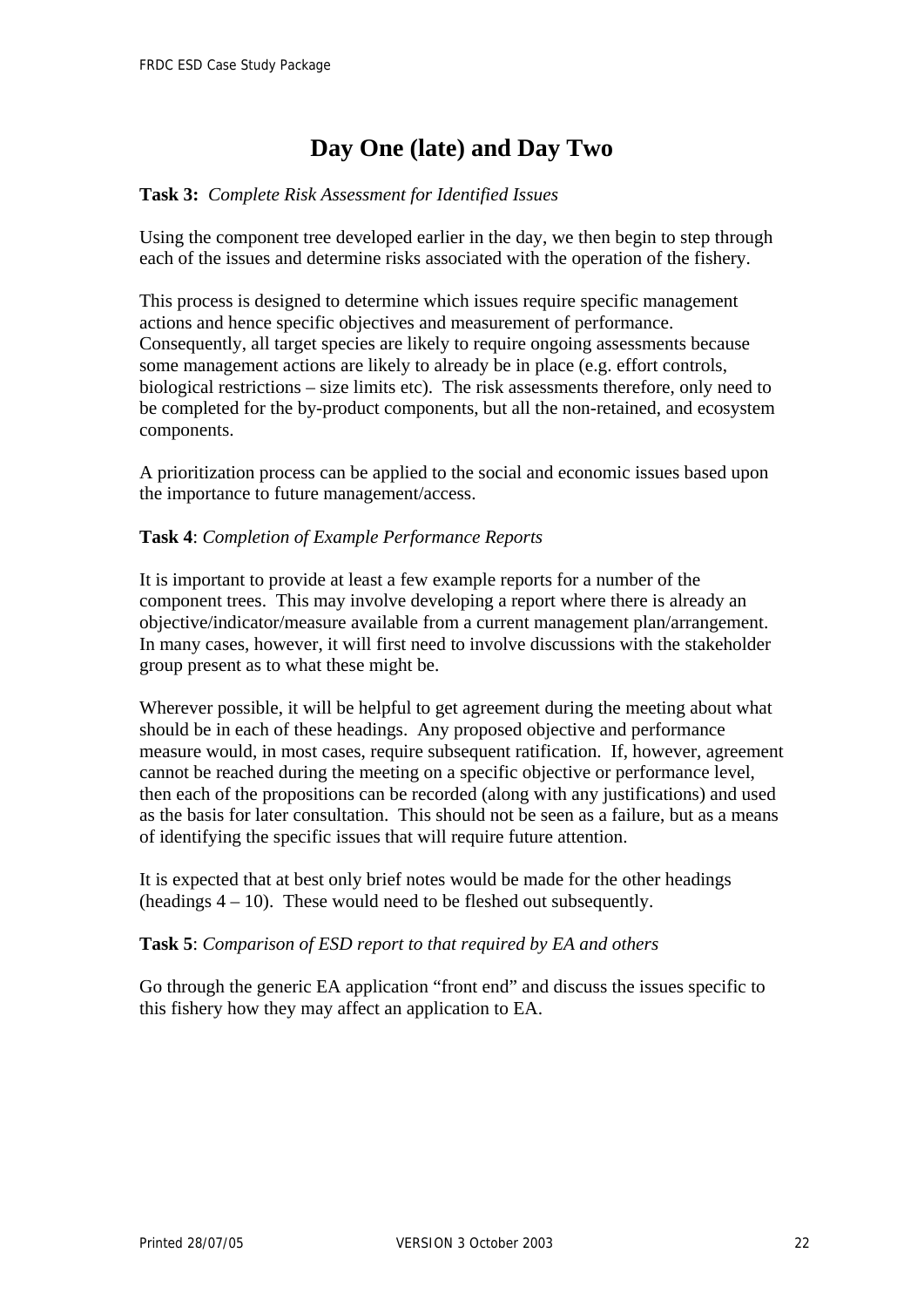# **Day One (late) and Day Two**

### **Task 3:** *Complete Risk Assessment for Identified Issues*

Using the component tree developed earlier in the day, we then begin to step through each of the issues and determine risks associated with the operation of the fishery.

This process is designed to determine which issues require specific management actions and hence specific objectives and measurement of performance. Consequently, all target species are likely to require ongoing assessments because some management actions are likely to already be in place (e.g. effort controls, biological restrictions – size limits etc). The risk assessments therefore, only need to be completed for the by-product components, but all the non-retained, and ecosystem components.

A prioritization process can be applied to the social and economic issues based upon the importance to future management/access.

#### **Task 4**: *Completion of Example Performance Reports*

It is important to provide at least a few example reports for a number of the component trees. This may involve developing a report where there is already an objective/indicator/measure available from a current management plan/arrangement. In many cases, however, it will first need to involve discussions with the stakeholder group present as to what these might be.

Wherever possible, it will be helpful to get agreement during the meeting about what should be in each of these headings. Any proposed objective and performance measure would, in most cases, require subsequent ratification. If, however, agreement cannot be reached during the meeting on a specific objective or performance level, then each of the propositions can be recorded (along with any justifications) and used as the basis for later consultation. This should not be seen as a failure, but as a means of identifying the specific issues that will require future attention.

It is expected that at best only brief notes would be made for the other headings (headings  $4 - 10$ ). These would need to be fleshed out subsequently.

#### **Task 5**: *Comparison of ESD report to that required by EA and others*

Go through the generic EA application "front end" and discuss the issues specific to this fishery how they may affect an application to EA.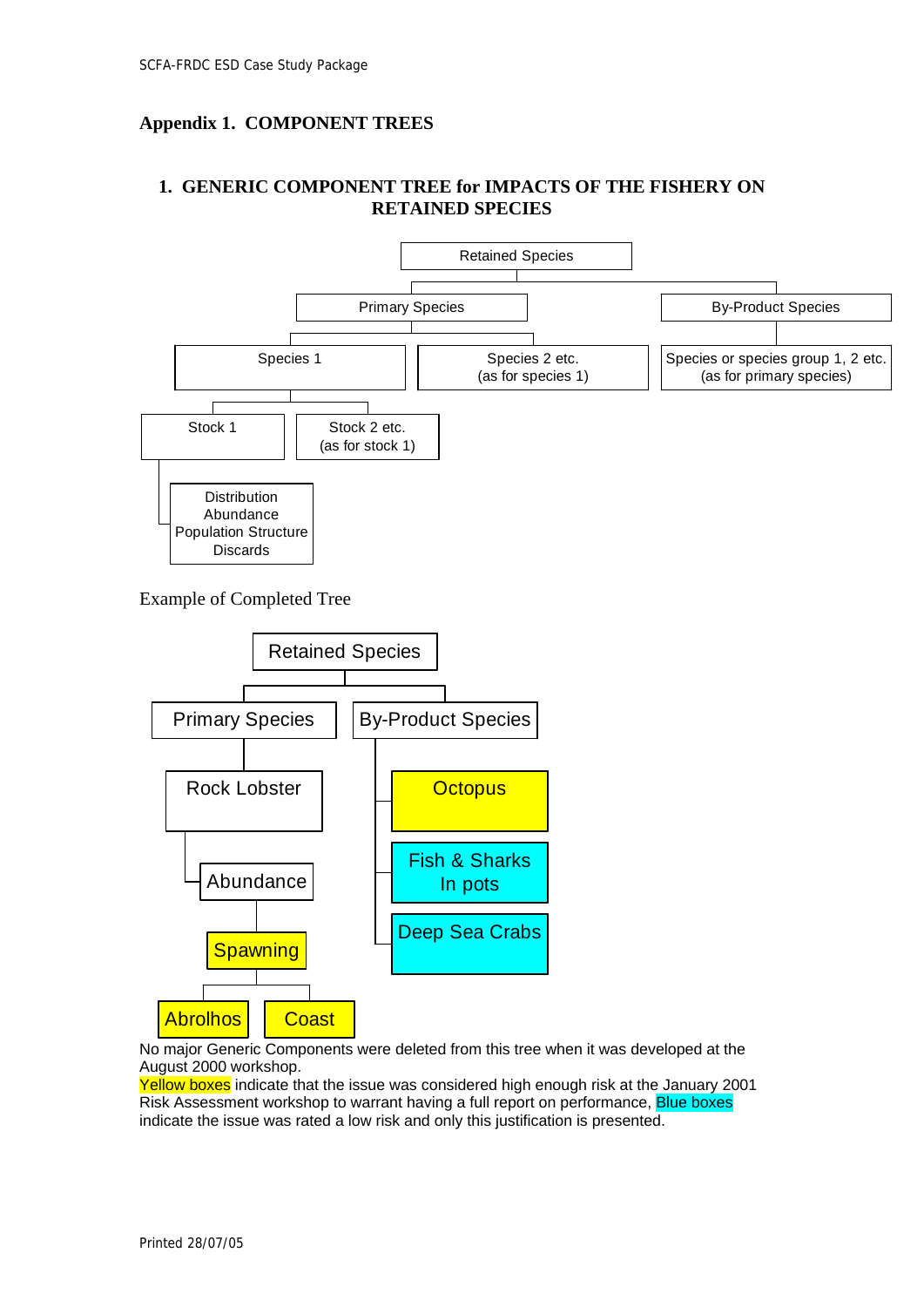## <span id="page-25-0"></span>**Appendix 1. COMPONENT TREES**

### **1. GENERIC COMPONENT TREE for IMPACTS OF THE FISHERY ON RETAINED SPECIES**



Example of Completed Tree



No major Generic Components were deleted from this tree when it was developed at the August 2000 workshop.

Yellow boxes indicate that the issue was considered high enough risk at the January 2001 Risk Assessment workshop to warrant having a full report on performance, Blue boxes indicate the issue was rated a low risk and only this justification is presented.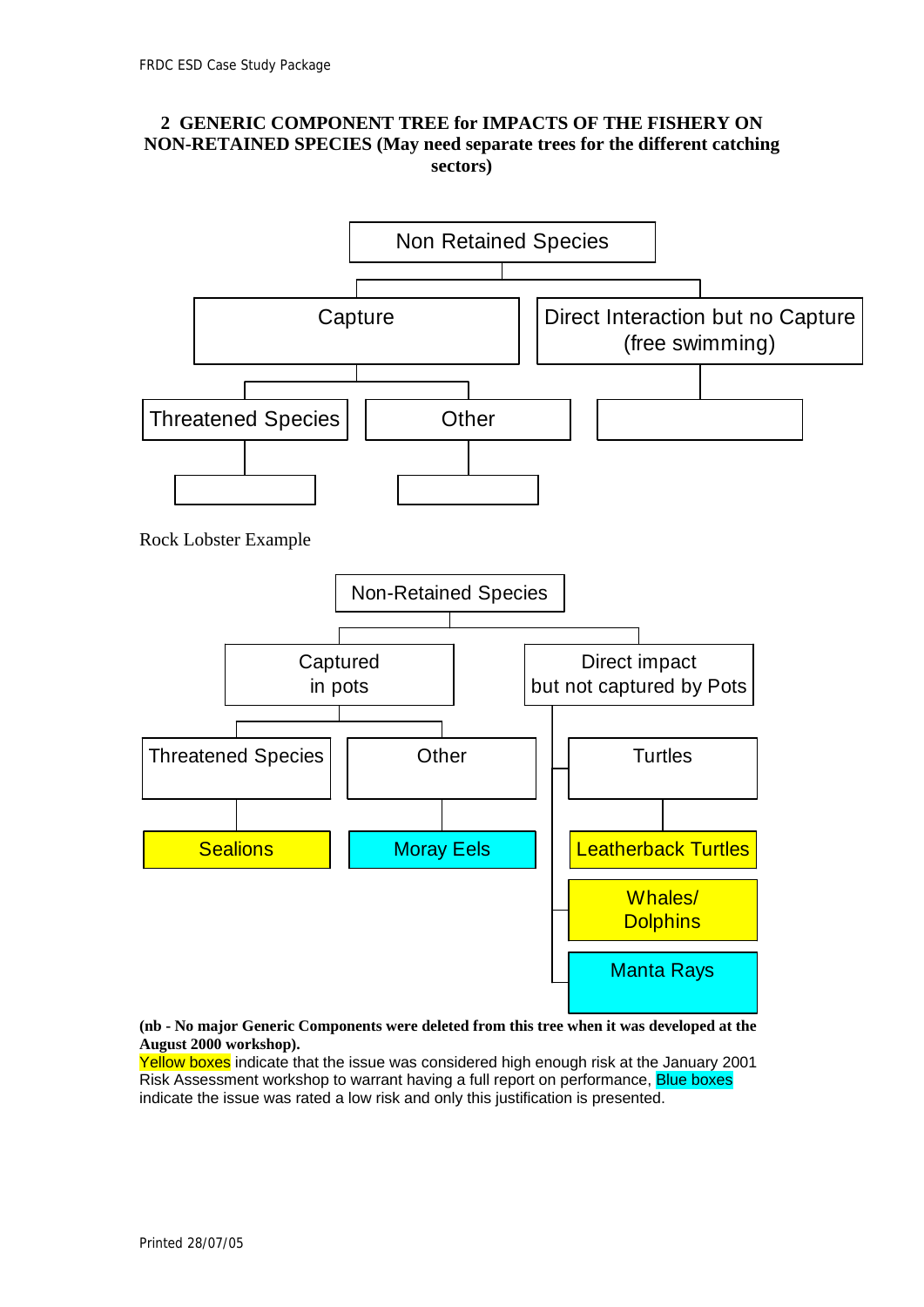### **2 GENERIC COMPONENT TREE for IMPACTS OF THE FISHERY ON NON-RETAINED SPECIES (May need separate trees for the different catching sectors)**



**(nb - No major Generic Components were deleted from this tree when it was developed at the August 2000 workshop).** 

Yellow boxes indicate that the issue was considered high enough risk at the January 2001 Risk Assessment workshop to warrant having a full report on performance, Blue boxes indicate the issue was rated a low risk and only this justification is presented.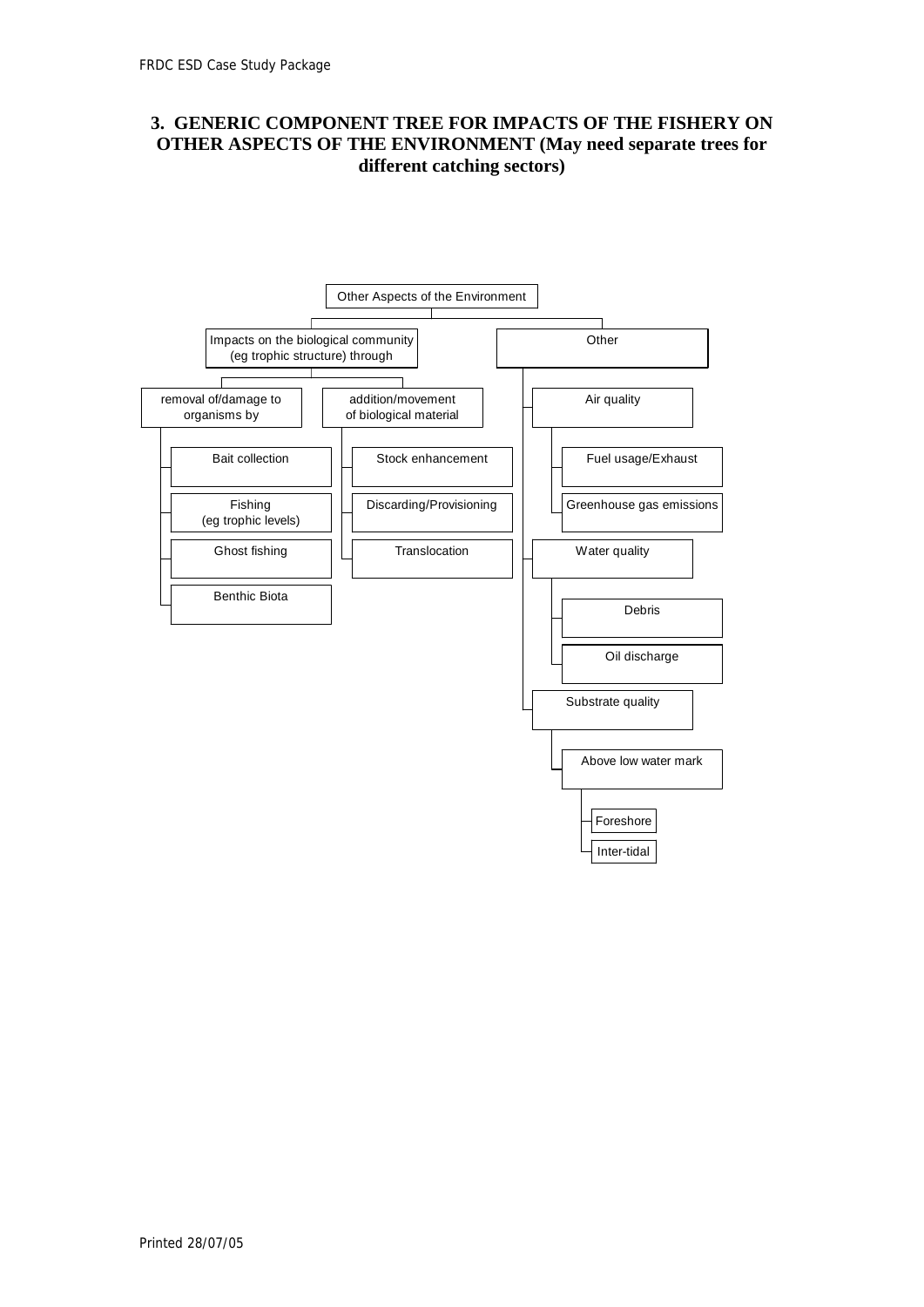### **3. GENERIC COMPONENT TREE FOR IMPACTS OF THE FISHERY ON OTHER ASPECTS OF THE ENVIRONMENT (May need separate trees for different catching sectors)**

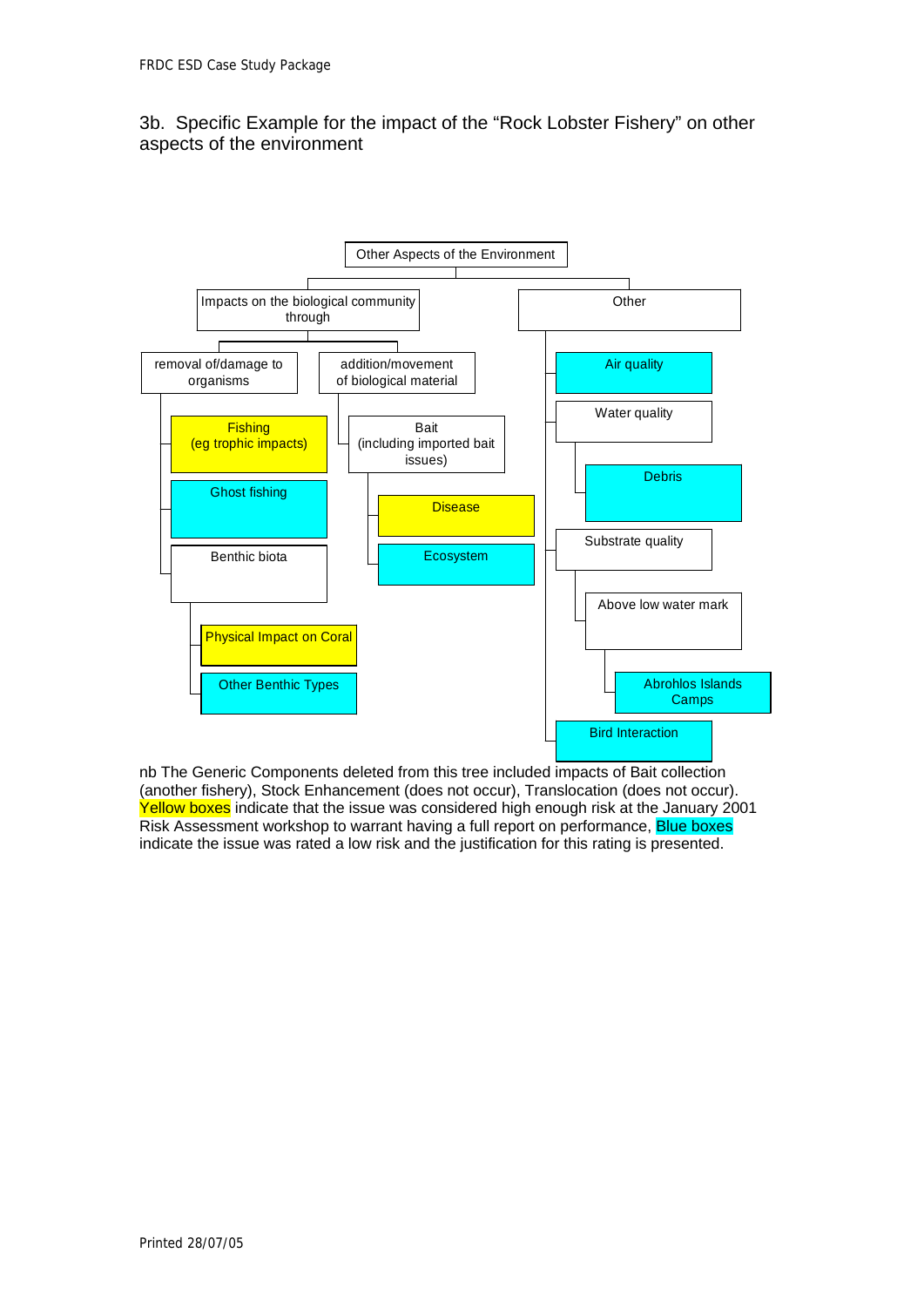### 3b. Specific Example for the impact of the "Rock Lobster Fishery" on other aspects of the environment



nb The Generic Components deleted from this tree included impacts of Bait collection (another fishery), Stock Enhancement (does not occur), Translocation (does not occur). Yellow boxes indicate that the issue was considered high enough risk at the January 2001 Risk Assessment workshop to warrant having a full report on performance, Blue boxes indicate the issue was rated a low risk and the justification for this rating is presented.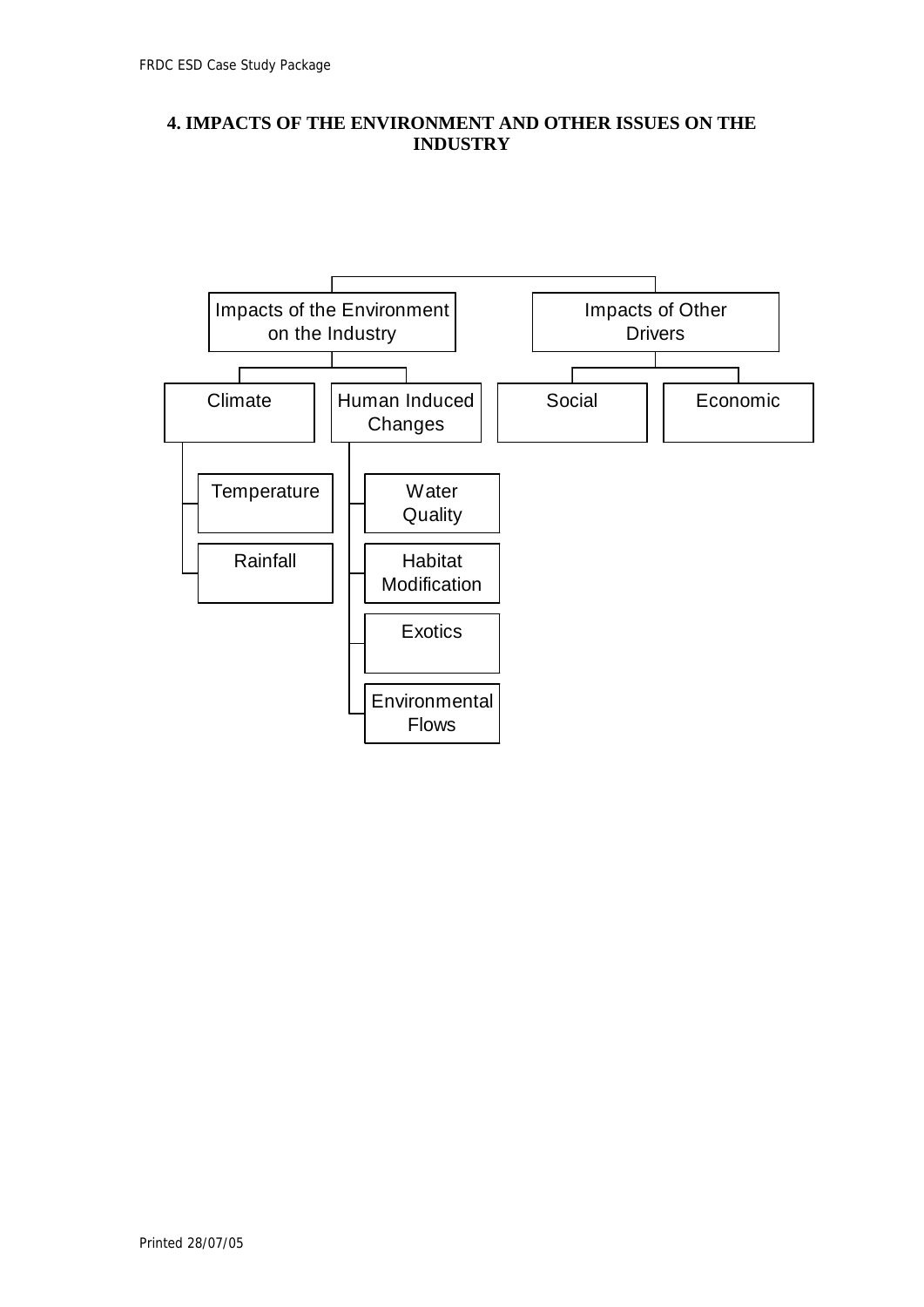### **4. IMPACTS OF THE ENVIRONMENT AND OTHER ISSUES ON THE INDUSTRY**

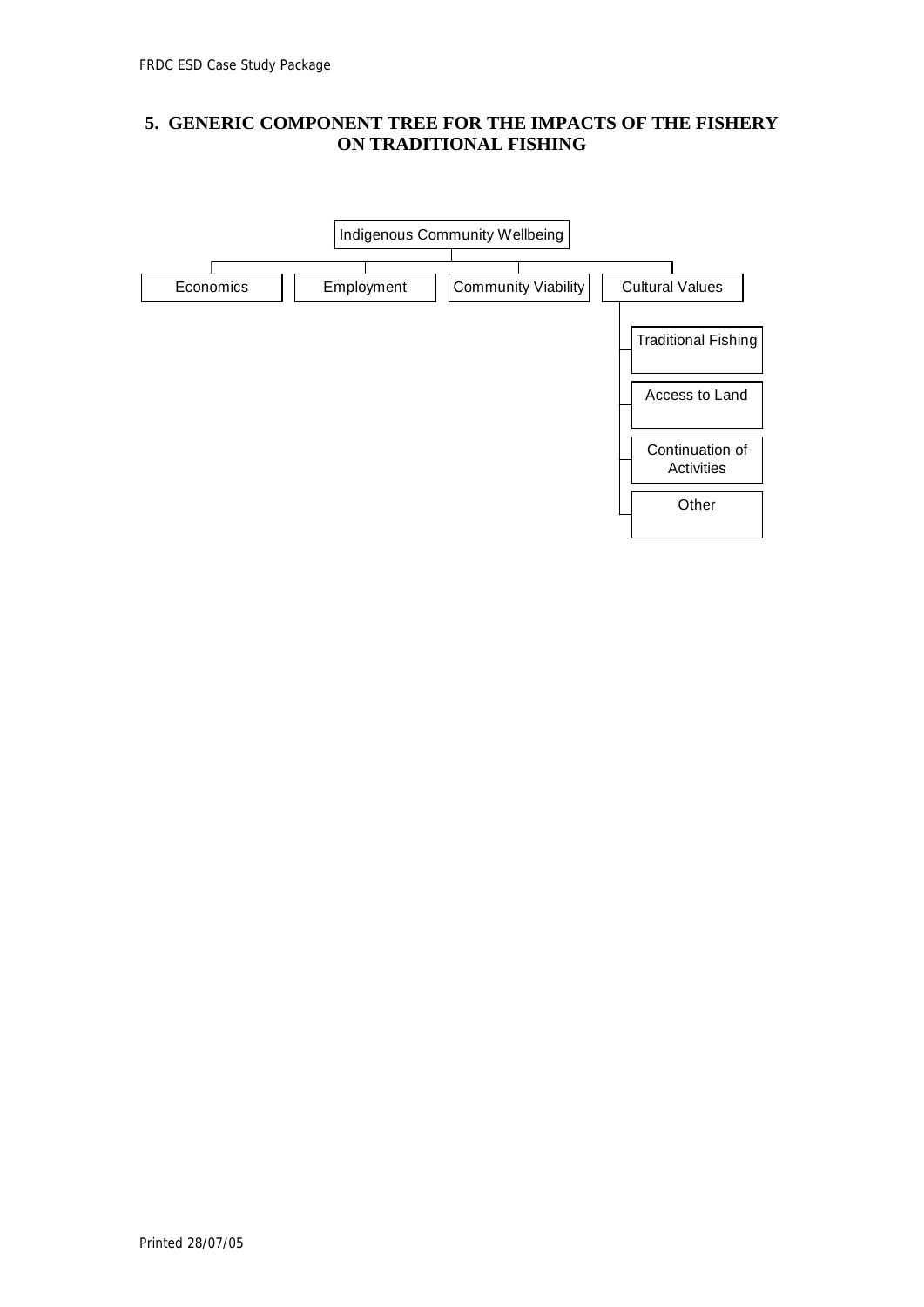### **5. GENERIC COMPONENT TREE FOR THE IMPACTS OF THE FISHERY ON TRADITIONAL FISHING**

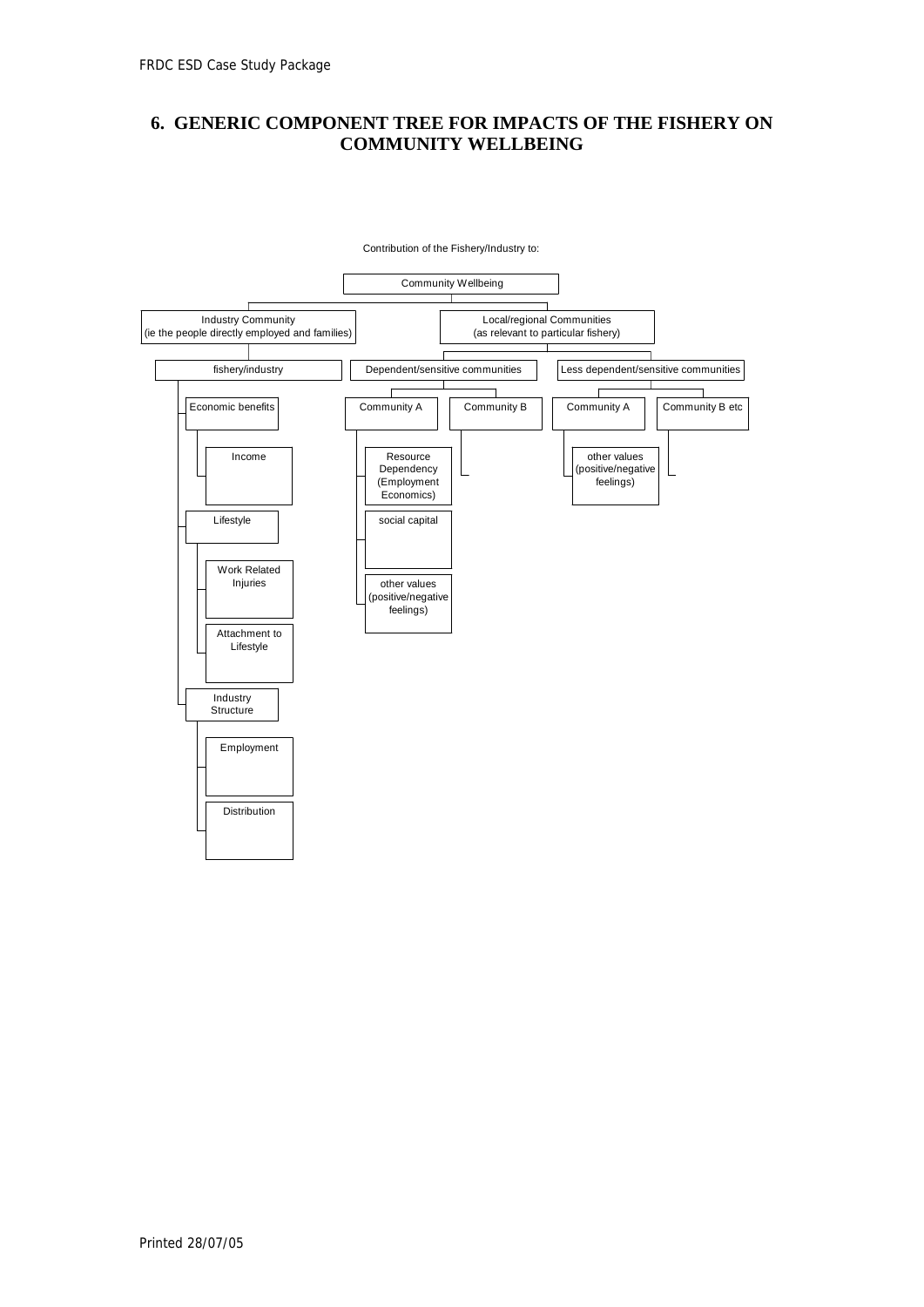### **6. GENERIC COMPONENT TREE FOR IMPACTS OF THE FISHERY ON COMMUNITY WELLBEING**

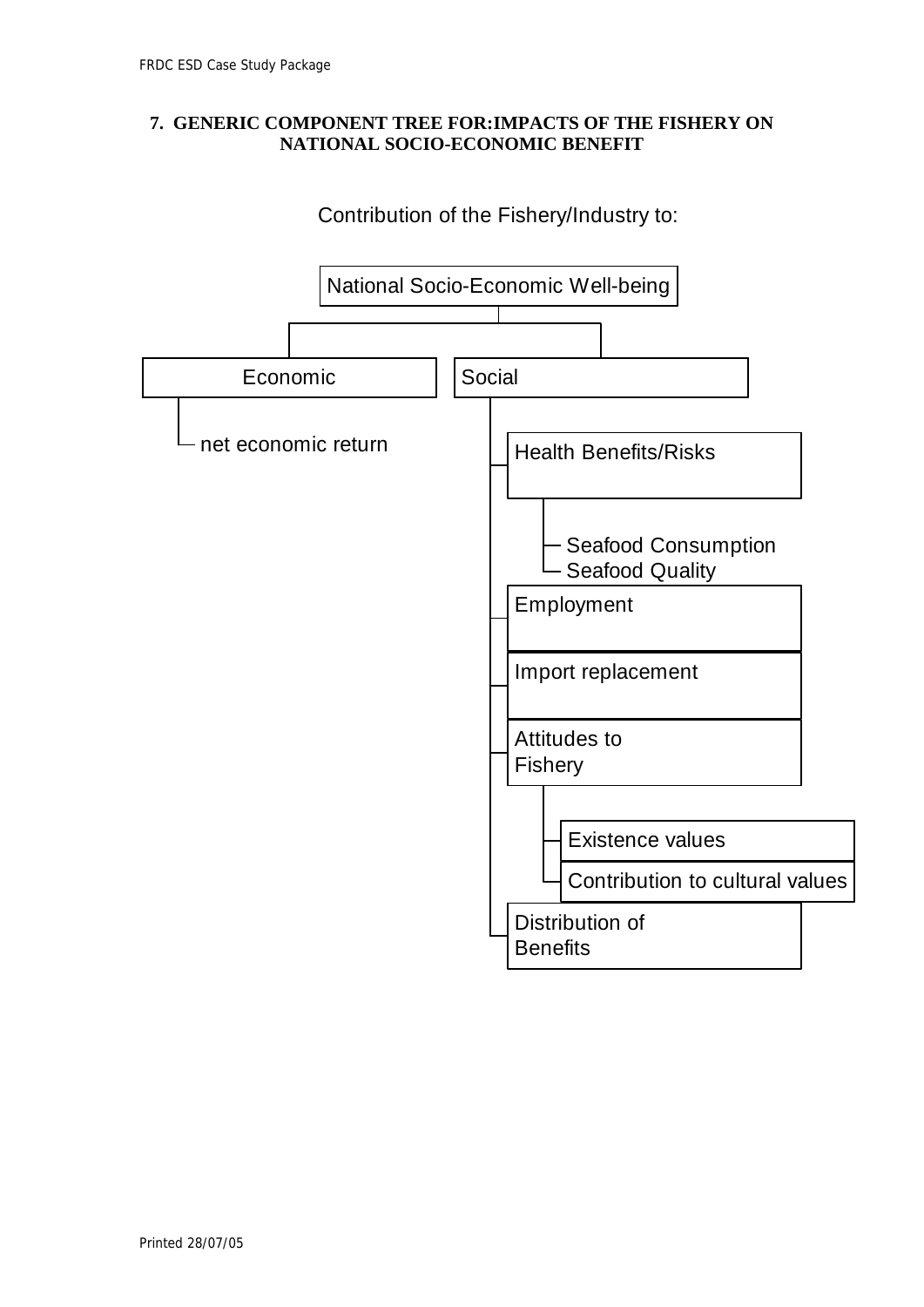### **7. GENERIC COMPONENT TREE FOR:IMPACTS OF THE FISHERY ON NATIONAL SOCIO-ECONOMIC BENEFIT**

# Contribution of the Fishery/Industry to:

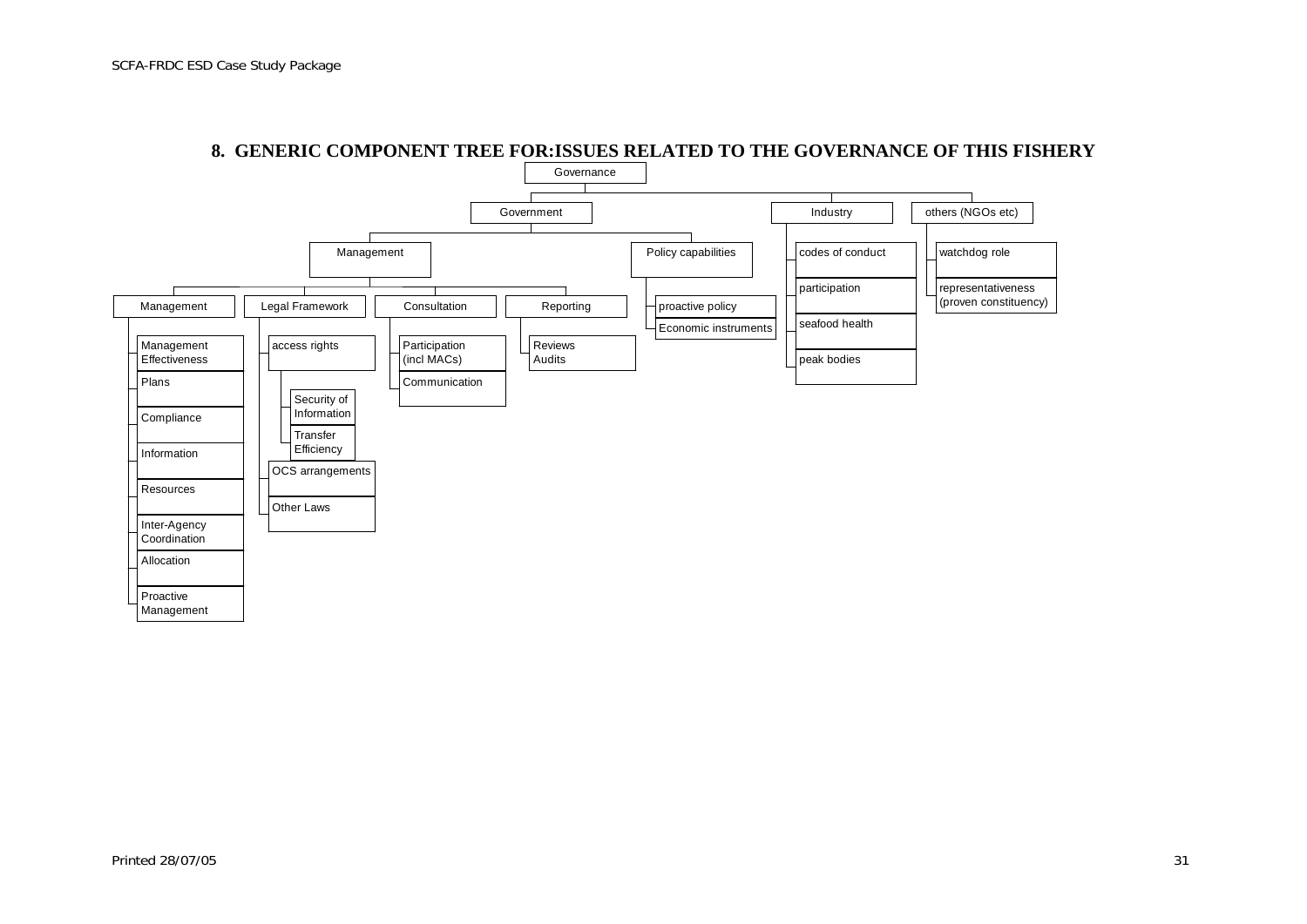

#### **8. GENERIC COMPONENT TREE FOR:ISSUES RELATED TO THE GOVERNANCE OF THIS FISHERY**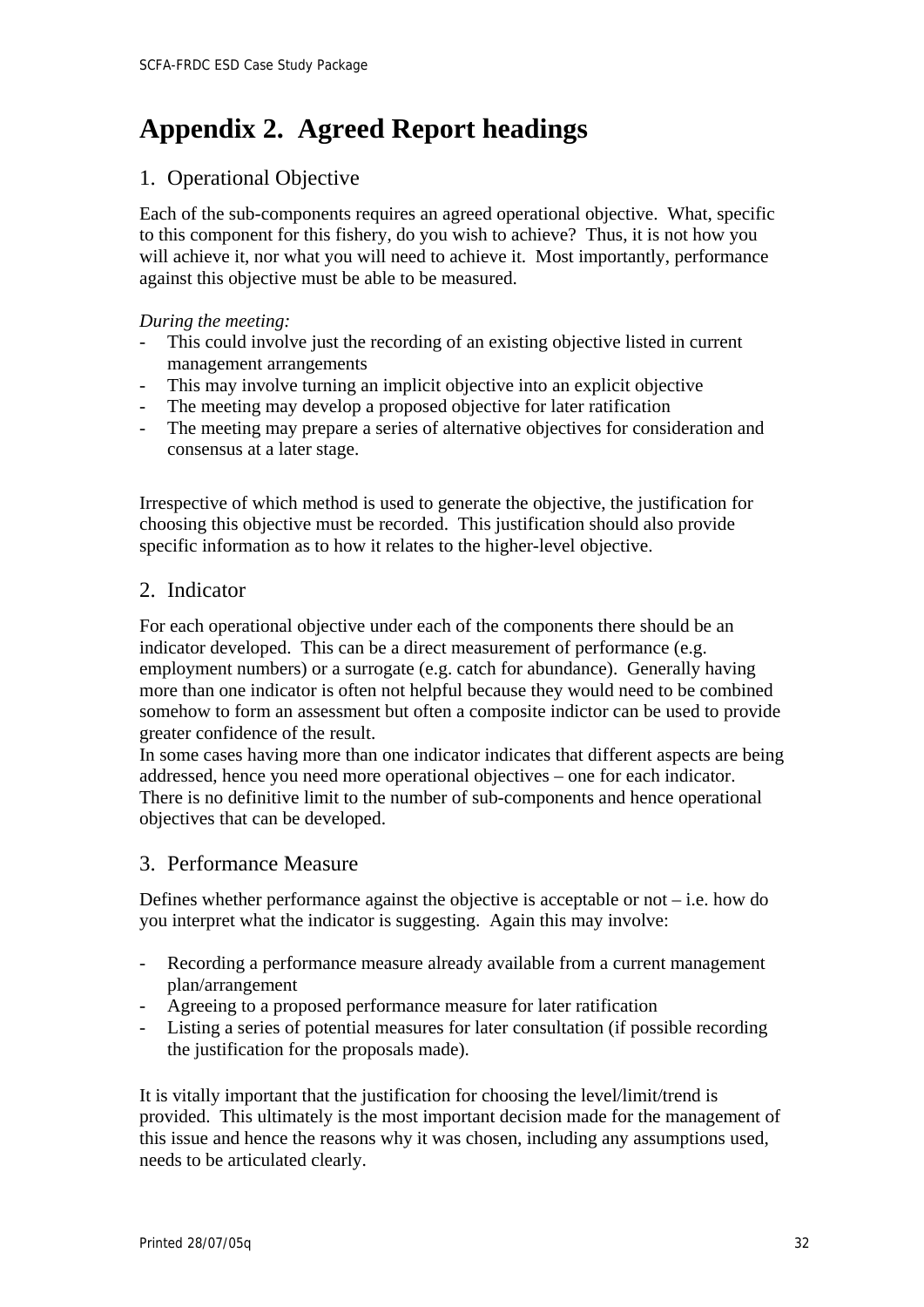# <span id="page-34-0"></span>**Appendix 2. Agreed Report headings**

# 1. Operational Objective

Each of the sub-components requires an agreed operational objective. What, specific to this component for this fishery, do you wish to achieve? Thus, it is not how you will achieve it, nor what you will need to achieve it. Most importantly, performance against this objective must be able to be measured.

### *During the meeting:*

- This could involve just the recording of an existing objective listed in current management arrangements
- This may involve turning an implicit objective into an explicit objective
- The meeting may develop a proposed objective for later ratification
- The meeting may prepare a series of alternative objectives for consideration and consensus at a later stage.

Irrespective of which method is used to generate the objective, the justification for choosing this objective must be recorded. This justification should also provide specific information as to how it relates to the higher-level objective.

# 2. Indicator

For each operational objective under each of the components there should be an indicator developed. This can be a direct measurement of performance (e.g. employment numbers) or a surrogate (e.g. catch for abundance). Generally having more than one indicator is often not helpful because they would need to be combined somehow to form an assessment but often a composite indictor can be used to provide greater confidence of the result.

In some cases having more than one indicator indicates that different aspects are being addressed, hence you need more operational objectives – one for each indicator. There is no definitive limit to the number of sub-components and hence operational objectives that can be developed.

# 3. Performance Measure

Defines whether performance against the objective is acceptable or not  $-$  i.e. how do you interpret what the indicator is suggesting. Again this may involve:

- Recording a performance measure already available from a current management plan/arrangement
- Agreeing to a proposed performance measure for later ratification
- Listing a series of potential measures for later consultation (if possible recording the justification for the proposals made).

It is vitally important that the justification for choosing the level/limit/trend is provided. This ultimately is the most important decision made for the management of this issue and hence the reasons why it was chosen, including any assumptions used, needs to be articulated clearly.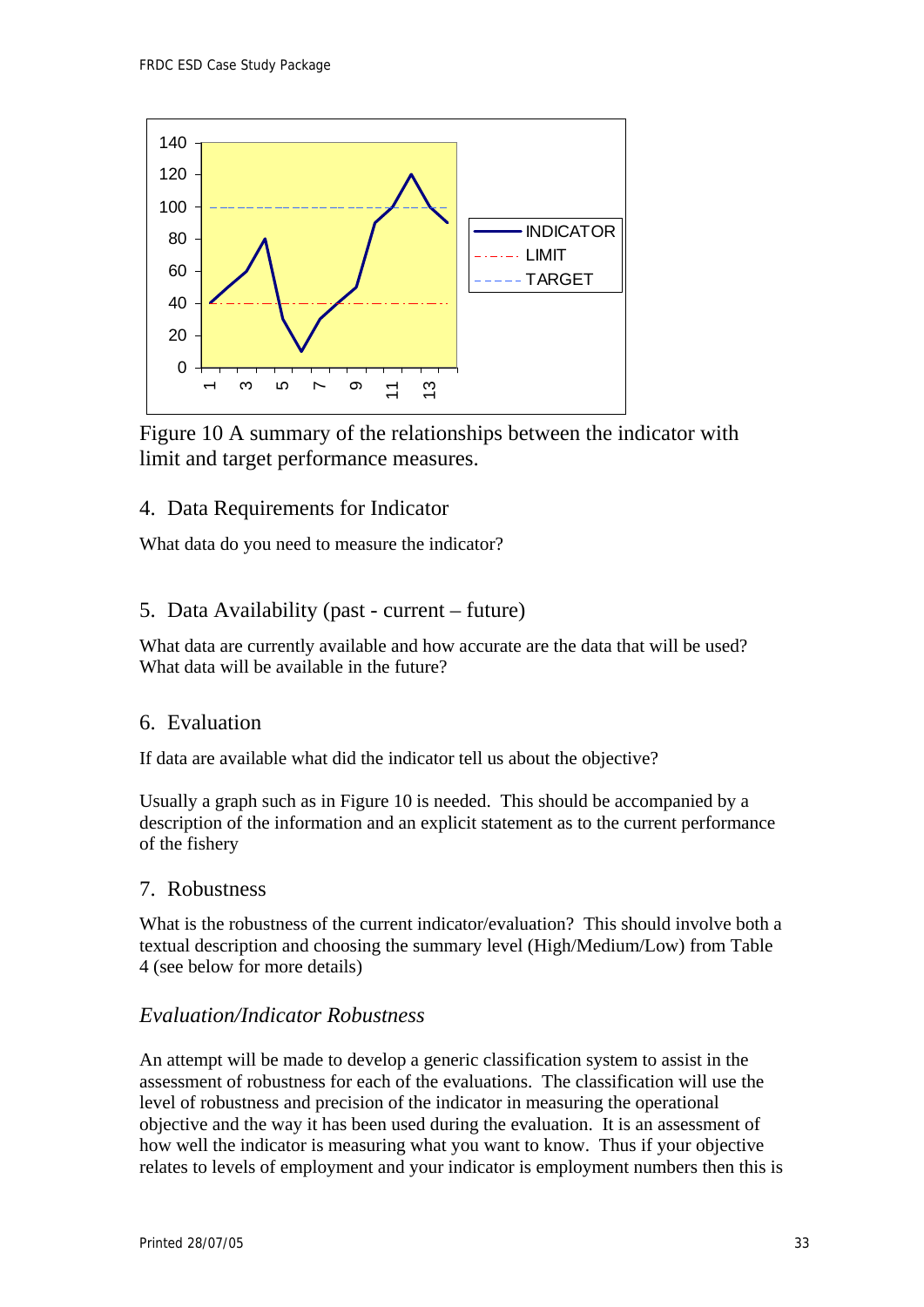

Figure 10 A summary of the relationships between the indicator with limit and target performance measures.

# 4. Data Requirements for Indicator

What data do you need to measure the indicator?

# 5. Data Availability (past - current – future)

What data are currently available and how accurate are the data that will be used? What data will be available in the future?

## 6. Evaluation

If data are available what did the indicator tell us about the objective?

Usually a graph such as in Figure 10 is needed. This should be accompanied by a description of the information and an explicit statement as to the current performance of the fishery

## 7. Robustness

What is the robustness of the current indicator/evaluation? This should involve both a textual description and choosing the summary level (High/Medium/Low) from Table 4 (see below for more details)

## *Evaluation/Indicator Robustness*

An attempt will be made to develop a generic classification system to assist in the assessment of robustness for each of the evaluations. The classification will use the level of robustness and precision of the indicator in measuring the operational objective and the way it has been used during the evaluation. It is an assessment of how well the indicator is measuring what you want to know. Thus if your objective relates to levels of employment and your indicator is employment numbers then this is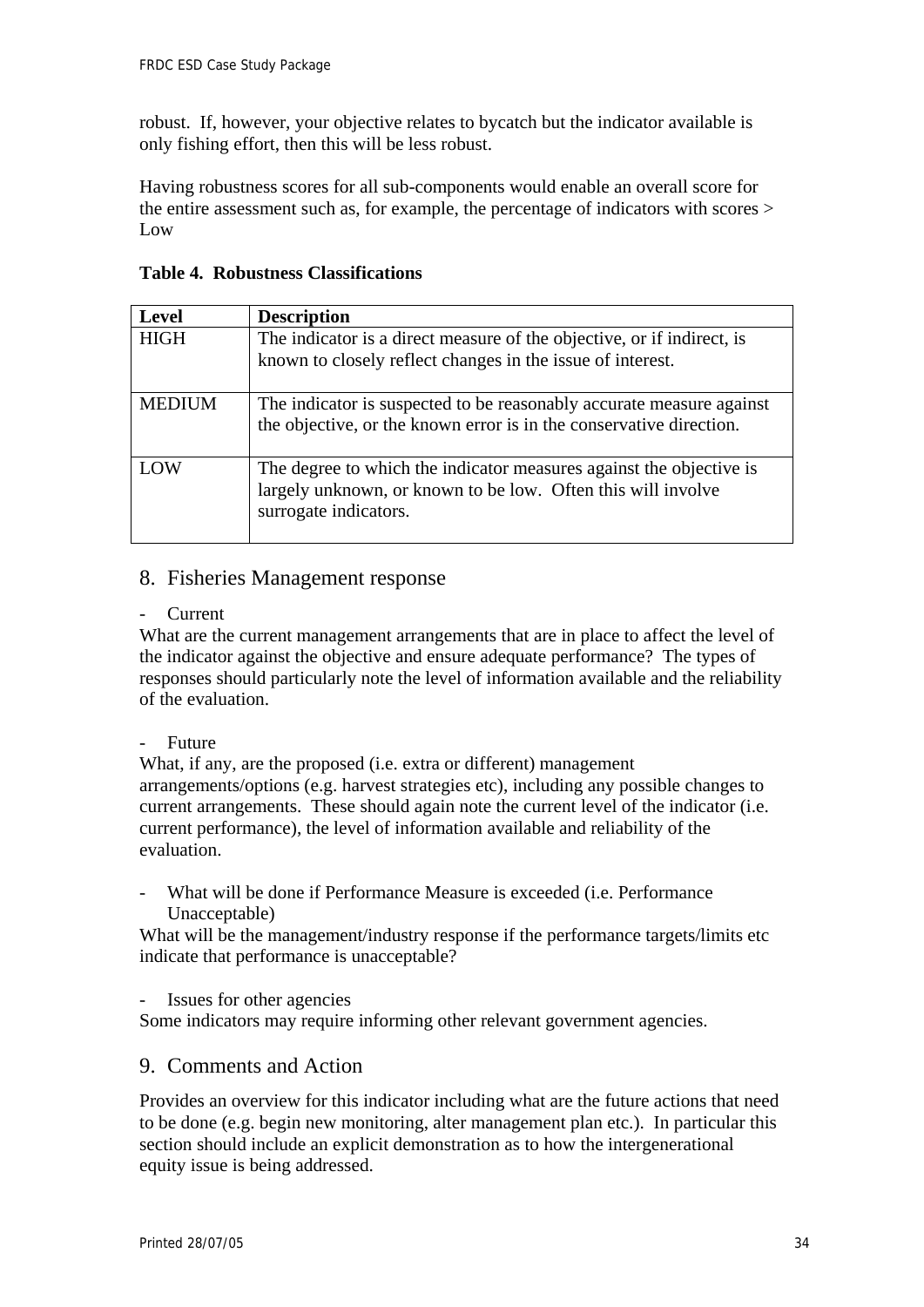robust. If, however, your objective relates to bycatch but the indicator available is only fishing effort, then this will be less robust.

Having robustness scores for all sub-components would enable an overall score for the entire assessment such as, for example, the percentage of indicators with scores > Low

**Table 4. Robustness Classifications** 

| <b>Level</b>  | <b>Description</b>                                                                                                                                           |
|---------------|--------------------------------------------------------------------------------------------------------------------------------------------------------------|
| <b>HIGH</b>   | The indicator is a direct measure of the objective, or if indirect, is<br>known to closely reflect changes in the issue of interest.                         |
| <b>MEDIUM</b> | The indicator is suspected to be reasonably accurate measure against<br>the objective, or the known error is in the conservative direction.                  |
| LOW           | The degree to which the indicator measures against the objective is<br>largely unknown, or known to be low. Often this will involve<br>surrogate indicators. |

### 8. Fisheries Management response

**Current** 

What are the current management arrangements that are in place to affect the level of the indicator against the objective and ensure adequate performance? The types of responses should particularly note the level of information available and the reliability of the evaluation.

- Future

What, if any, are the proposed (i.e. extra or different) management arrangements/options (e.g. harvest strategies etc), including any possible changes to current arrangements. These should again note the current level of the indicator (i.e. current performance), the level of information available and reliability of the evaluation.

What will be done if Performance Measure is exceeded (i.e. Performance Unacceptable)

What will be the management/industry response if the performance targets/limits etc indicate that performance is unacceptable?

Issues for other agencies

Some indicators may require informing other relevant government agencies.

### 9. Comments and Action

Provides an overview for this indicator including what are the future actions that need to be done (e.g. begin new monitoring, alter management plan etc.). In particular this section should include an explicit demonstration as to how the intergenerational equity issue is being addressed.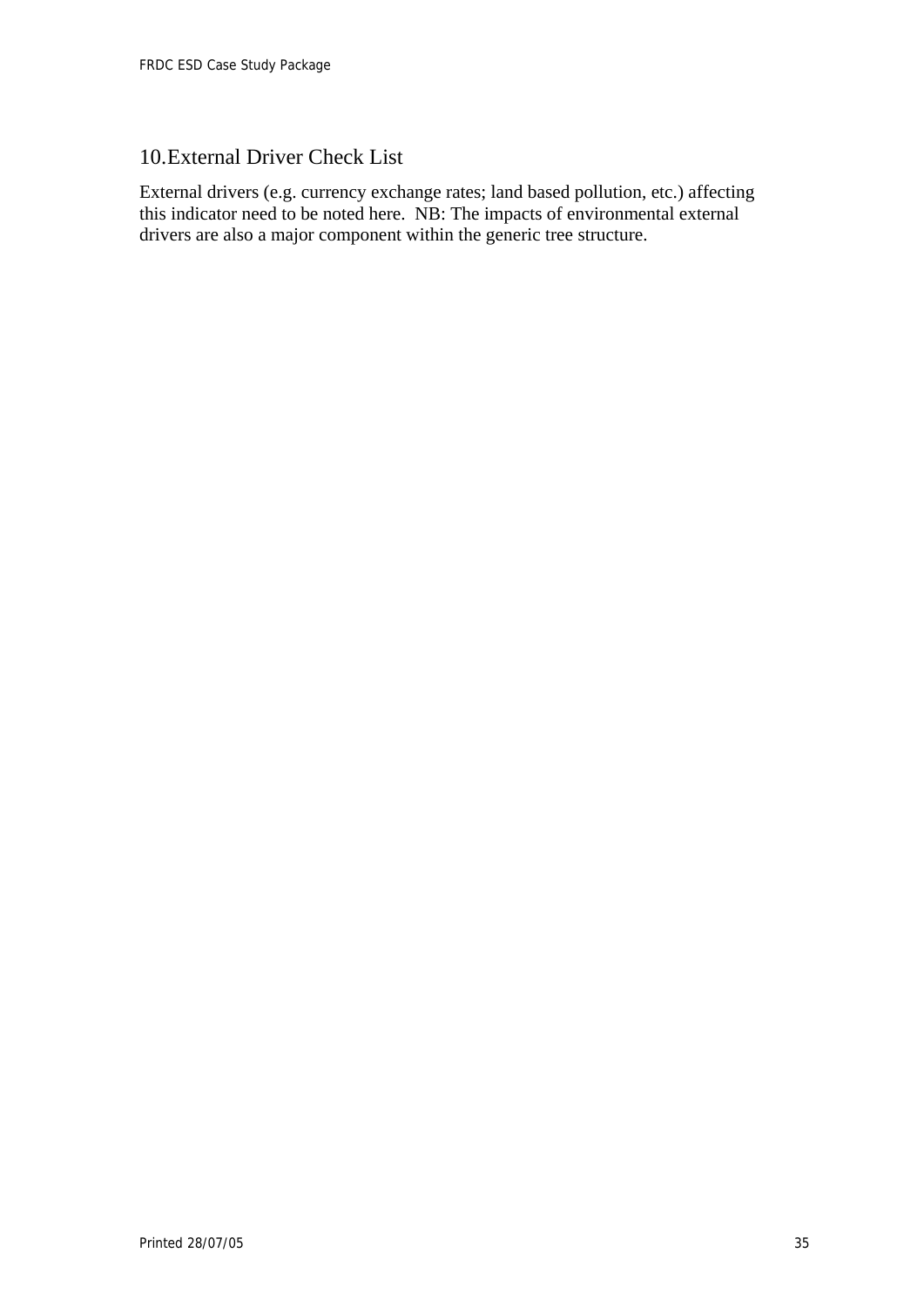# 10.External Driver Check List

External drivers (e.g. currency exchange rates; land based pollution, etc.) affecting this indicator need to be noted here. NB: The impacts of environmental external drivers are also a major component within the generic tree structure.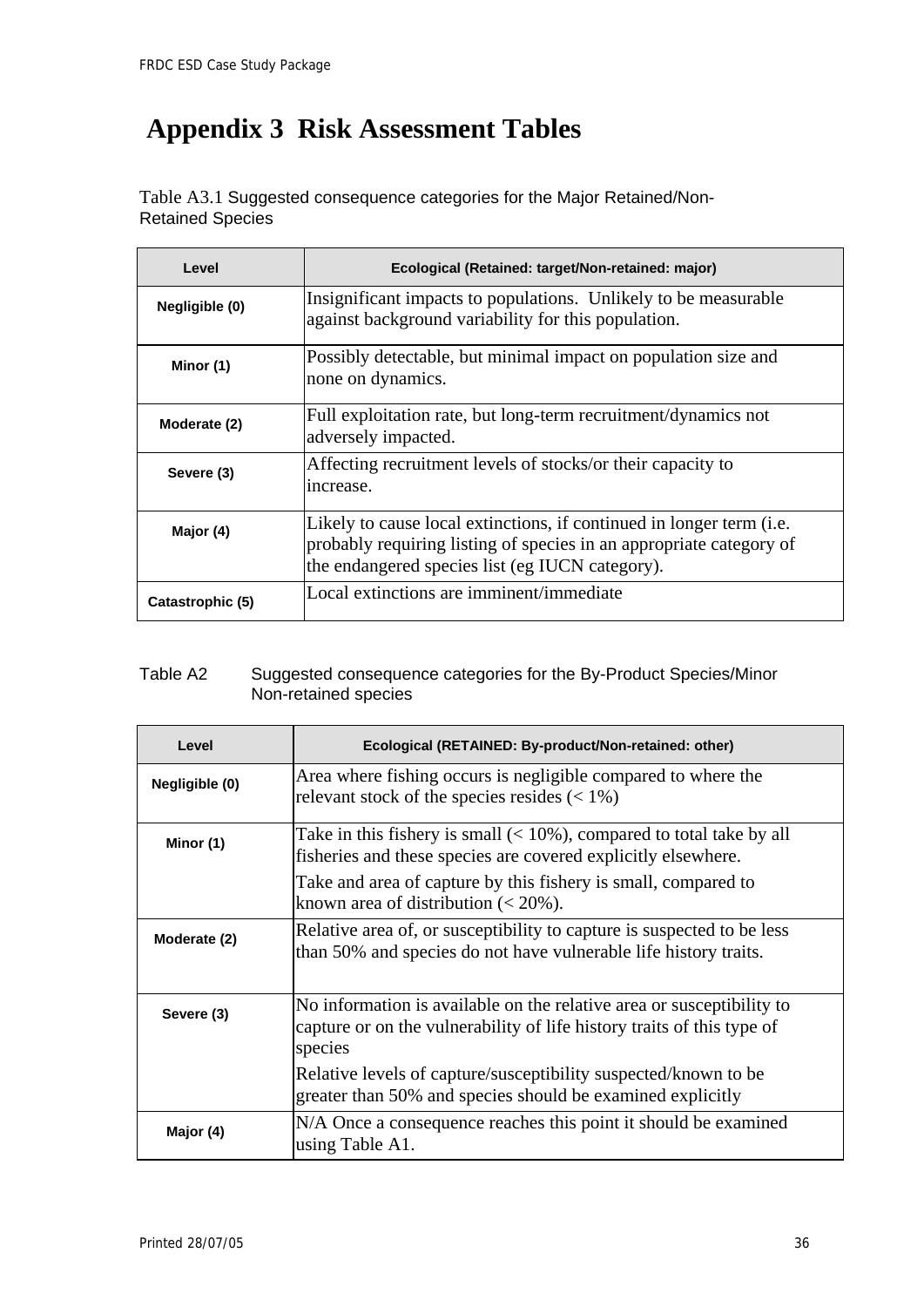$\overline{\phantom{a}}$ 

# <span id="page-38-0"></span> **Appendix 3 Risk Assessment Tables**

Table A3.1 Suggested consequence categories for the Major Retained/Non-Retained Species

| Level            | Ecological (Retained: target/Non-retained: major)                                                                                                                                              |
|------------------|------------------------------------------------------------------------------------------------------------------------------------------------------------------------------------------------|
| Negligible (0)   | Insignificant impacts to populations. Unlikely to be measurable<br>against background variability for this population.                                                                         |
| Minor (1)        | Possibly detectable, but minimal impact on population size and<br>none on dynamics.                                                                                                            |
| Moderate (2)     | Full exploitation rate, but long-term recruitment/dynamics not<br>adversely impacted.                                                                                                          |
| Severe (3)       | Affecting recruitment levels of stocks/or their capacity to<br>increase.                                                                                                                       |
| Major (4)        | Likely to cause local extinctions, if continued in longer term (i.e.<br>probably requiring listing of species in an appropriate category of<br>the endangered species list (eg IUCN category). |
| Catastrophic (5) | Local extinctions are imminent/immediate                                                                                                                                                       |

### Table A2 Suggested consequence categories for the By-Product Species/Minor Non-retained species

| Level          | Ecological (RETAINED: By-product/Non-retained: other)                                                                                                      |  |
|----------------|------------------------------------------------------------------------------------------------------------------------------------------------------------|--|
| Negligible (0) | Area where fishing occurs is negligible compared to where the<br>relevant stock of the species resides $(< 1\%)$                                           |  |
| Minor (1)      | Take in this fishery is small $(< 10\%)$ , compared to total take by all<br>fisheries and these species are covered explicitly elsewhere.                  |  |
|                | Take and area of capture by this fishery is small, compared to<br>known area of distribution $(< 20\%$ ).                                                  |  |
| Moderate (2)   | Relative area of, or susceptibility to capture is suspected to be less<br>than 50% and species do not have vulnerable life history traits.                 |  |
| Severe (3)     | No information is available on the relative area or susceptibility to<br>capture or on the vulnerability of life history traits of this type of<br>species |  |
|                | Relative levels of capture/susceptibility suspected/known to be<br>greater than 50% and species should be examined explicitly                              |  |
| Major (4)      | N/A Once a consequence reaches this point it should be examined<br>using Table A1.                                                                         |  |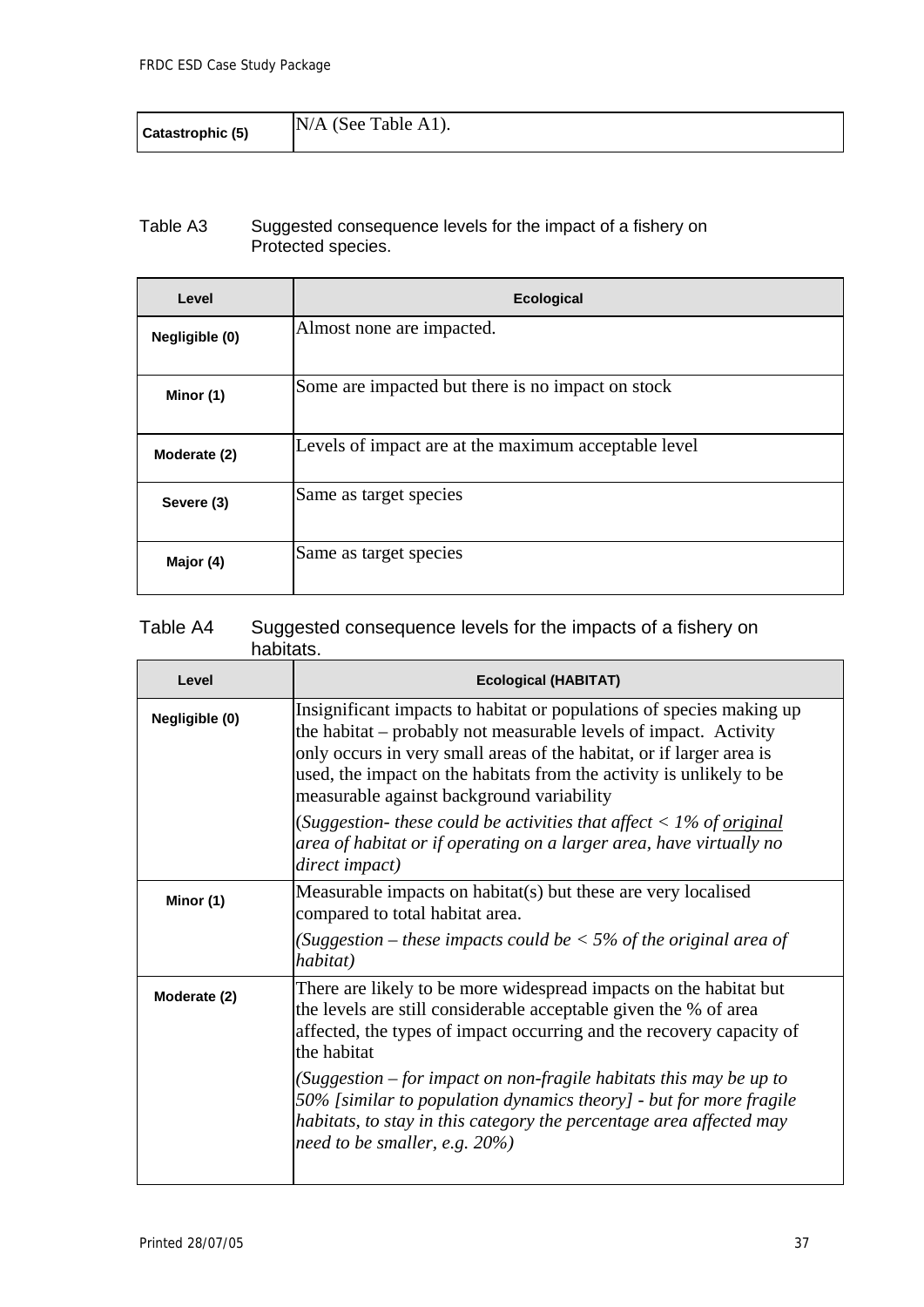| Catastrophic (5) | $N/A$ (See Table A1). |
|------------------|-----------------------|
|------------------|-----------------------|

#### Table A3 Suggested consequence levels for the impact of a fishery on Protected species.

| Level          | <b>Ecological</b>                                    |
|----------------|------------------------------------------------------|
| Negligible (0) | Almost none are impacted.                            |
| Minor (1)      | Some are impacted but there is no impact on stock    |
| Moderate (2)   | Levels of impact are at the maximum acceptable level |
| Severe (3)     | Same as target species                               |
| Major (4)      | Same as target species                               |

### Table A4 Suggested consequence levels for the impacts of a fishery on habitats.

| Level          | <b>Ecological (HABITAT)</b>                                                                                                                                                                                                                                                                                                           |
|----------------|---------------------------------------------------------------------------------------------------------------------------------------------------------------------------------------------------------------------------------------------------------------------------------------------------------------------------------------|
| Negligible (0) | Insignificant impacts to habitat or populations of species making up<br>the habitat – probably not measurable levels of impact. Activity<br>only occurs in very small areas of the habitat, or if larger area is<br>used, the impact on the habitats from the activity is unlikely to be<br>measurable against background variability |
|                | (Suggestion- these could be activities that affect $\langle 1\%$ of <u>original</u><br>area of habitat or if operating on a larger area, have virtually no<br>direct impact)                                                                                                                                                          |
| Minor (1)      | Measurable impacts on habitat(s) but these are very localised<br>compared to total habitat area.                                                                                                                                                                                                                                      |
|                | (Suggestion – these impacts could be $<$ 5% of the original area of<br>habitat)                                                                                                                                                                                                                                                       |
| Moderate (2)   | There are likely to be more widespread impacts on the habitat but<br>the levels are still considerable acceptable given the % of area<br>affected, the types of impact occurring and the recovery capacity of<br>the habitat                                                                                                          |
|                | (Suggestion $-$ for impact on non-fragile habitats this may be up to<br>50% [similar to population dynamics theory] - but for more fragile<br>habitats, to stay in this category the percentage area affected may<br>need to be smaller, e.g. $20\%$ )                                                                                |